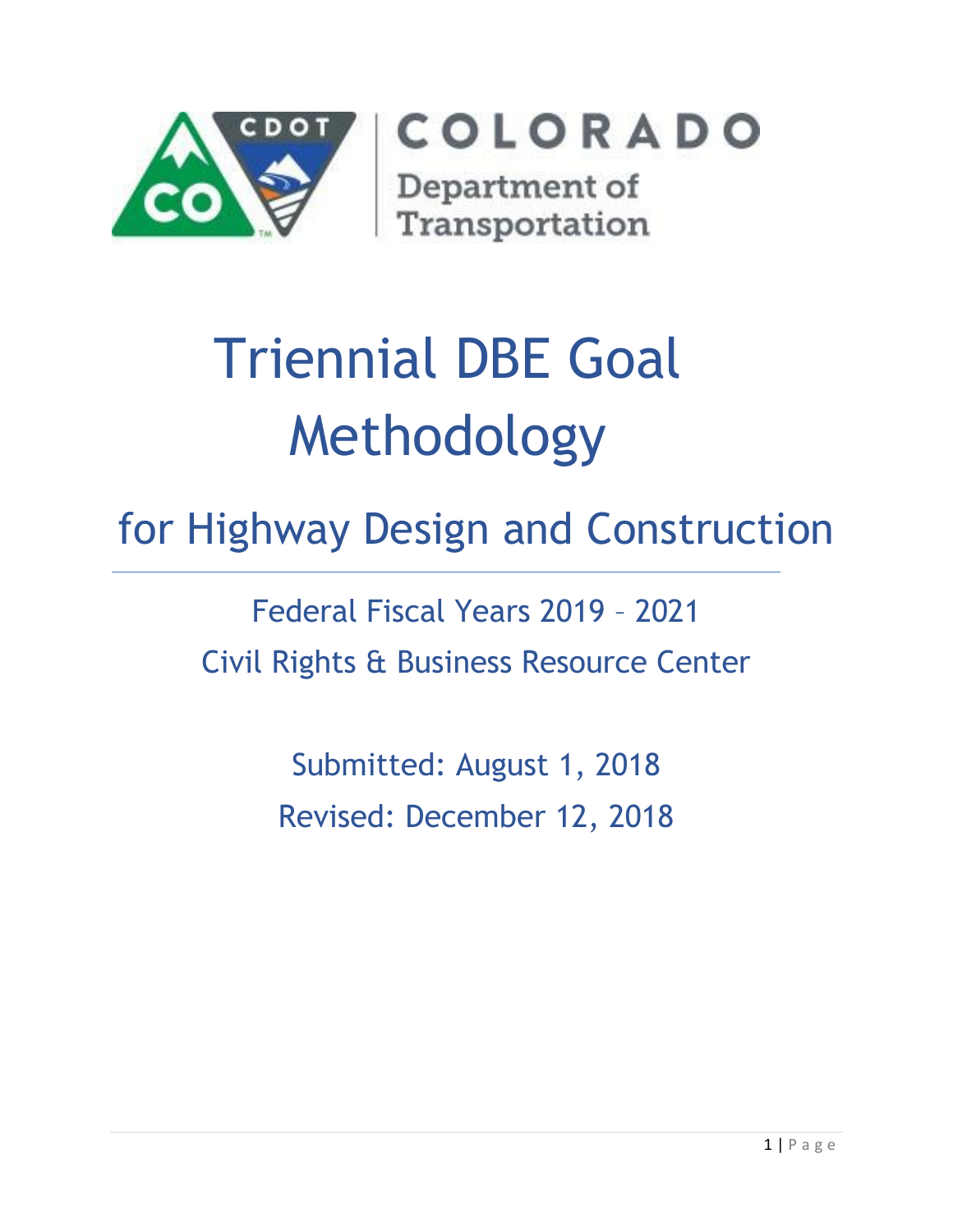

COLORADO Department of

Transportation

# Triennial DBE Goal Methodology

# for Highway Design and Construction

Federal Fiscal Years 2019 – 2021 Civil Rights & Business Resource Center

> Submitted: August 1, 2018 Revised: December 12, 2018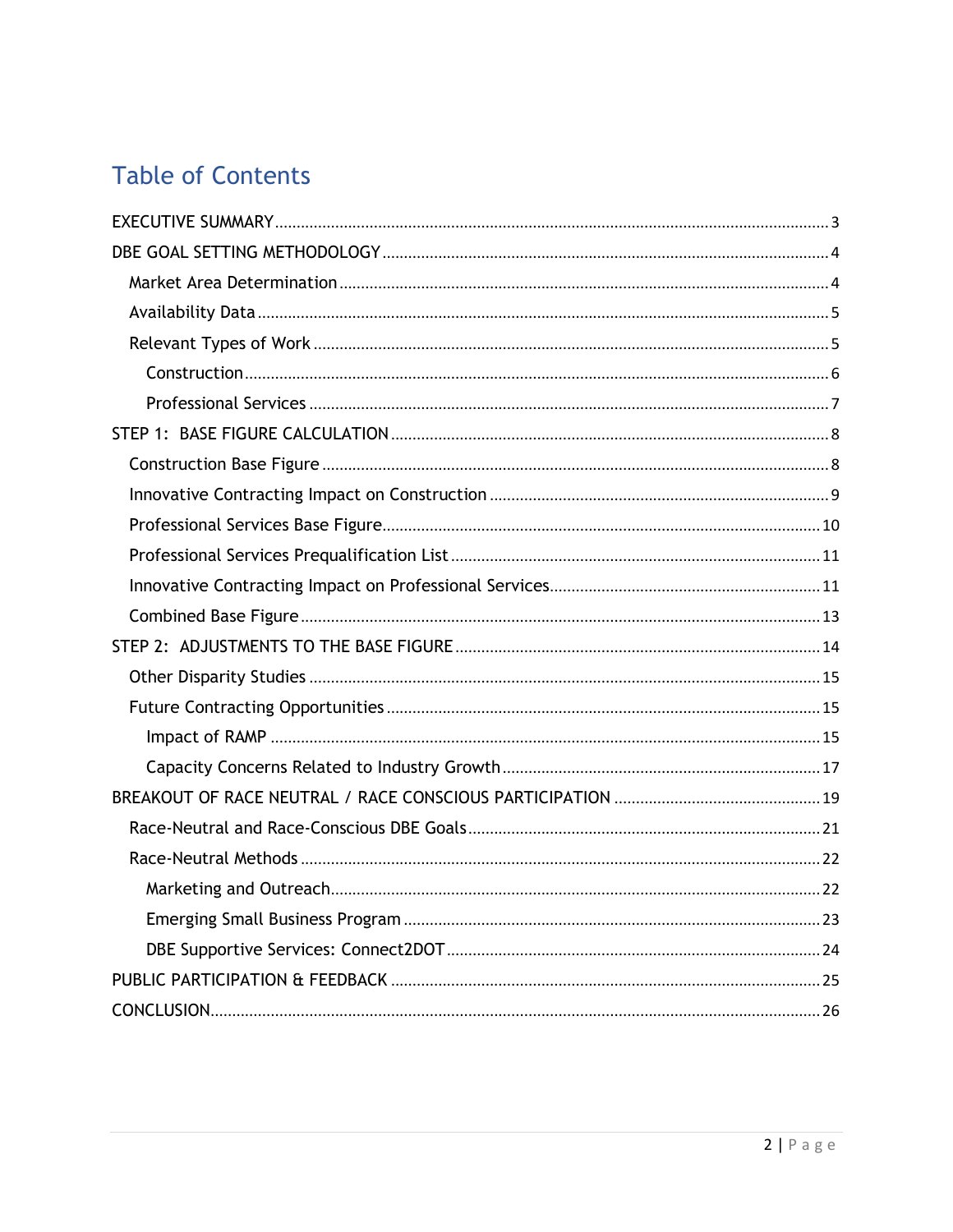# **Table of Contents**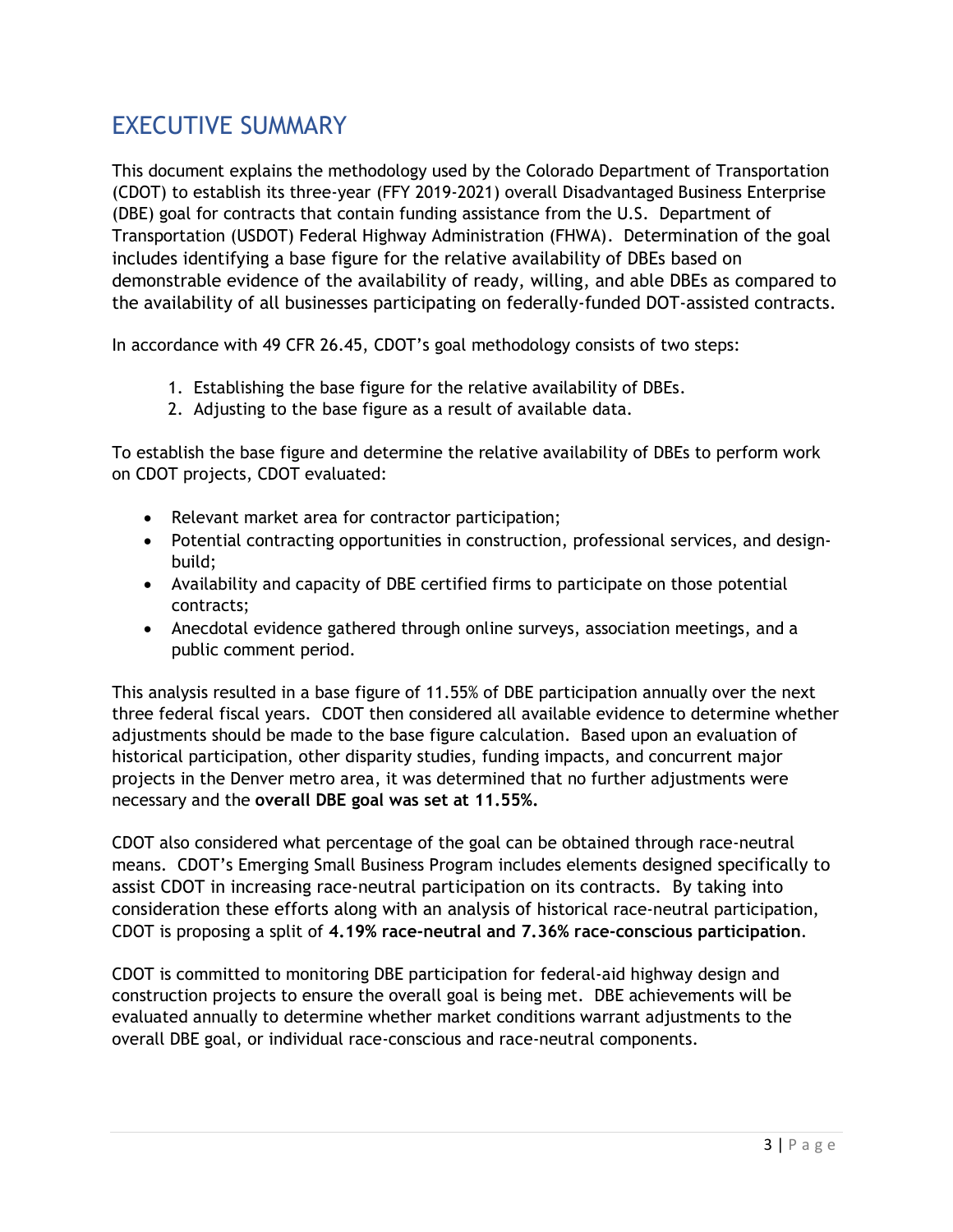### <span id="page-2-0"></span>EXECUTIVE SUMMARY

This document explains the methodology used by the Colorado Department of Transportation (CDOT) to establish its three-year (FFY 2019-2021) overall Disadvantaged Business Enterprise (DBE) goal for contracts that contain funding assistance from the U.S. Department of Transportation (USDOT) Federal Highway Administration (FHWA). Determination of the goal includes identifying a base figure for the relative availability of DBEs based on demonstrable evidence of the availability of ready, willing, and able DBEs as compared to the availability of all businesses participating on federally‐funded DOT‐assisted contracts.

In accordance with 49 CFR 26.45, CDOT's goal methodology consists of two steps:

- 1. Establishing the base figure for the relative availability of DBEs.
- 2. Adjusting to the base figure as a result of available data.

To establish the base figure and determine the relative availability of DBEs to perform work on CDOT projects, CDOT evaluated:

- Relevant market area for contractor participation;
- Potential contracting opportunities in construction, professional services, and designbuild;
- Availability and capacity of DBE certified firms to participate on those potential contracts;
- Anecdotal evidence gathered through online surveys, association meetings, and a public comment period.

This analysis resulted in a base figure of 11.55% of DBE participation annually over the next three federal fiscal years. CDOT then considered all available evidence to determine whether adjustments should be made to the base figure calculation. Based upon an evaluation of historical participation, other disparity studies, funding impacts, and concurrent major projects in the Denver metro area, it was determined that no further adjustments were necessary and the **overall DBE goal was set at 11.55%.** 

CDOT also considered what percentage of the goal can be obtained through race-neutral means. CDOT's Emerging Small Business Program includes elements designed specifically to assist CDOT in increasing race‐neutral participation on its contracts. By taking into consideration these efforts along with an analysis of historical race-neutral participation, CDOT is proposing a split of **4.19% race-neutral and 7.36% race-conscious participation**.

CDOT is committed to monitoring DBE participation for federal-aid highway design and construction projects to ensure the overall goal is being met. DBE achievements will be evaluated annually to determine whether market conditions warrant adjustments to the overall DBE goal, or individual race-conscious and race-neutral components.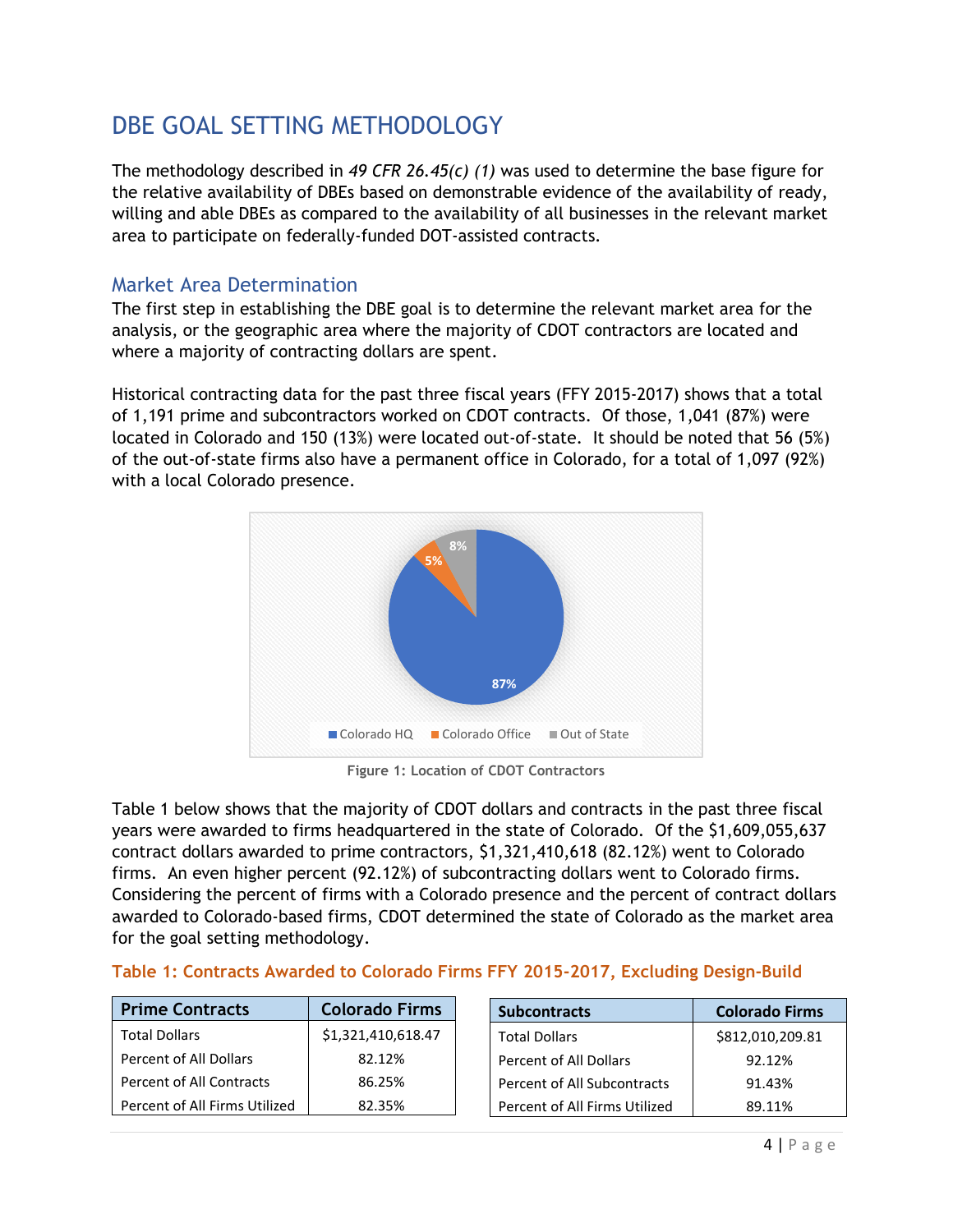# <span id="page-3-0"></span>DBE GOAL SETTING METHODOLOGY

The methodology described in *49 CFR 26.45(c) (1)* was used to determine the base figure for the relative availability of DBEs based on demonstrable evidence of the availability of ready, willing and able DBEs as compared to the availability of all businesses in the relevant market area to participate on federally‐funded DOT‐assisted contracts.

#### <span id="page-3-1"></span>Market Area Determination

The first step in establishing the DBE goal is to determine the relevant market area for the analysis, or the geographic area where the majority of CDOT contractors are located and where a majority of contracting dollars are spent.

Historical contracting data for the past three fiscal years (FFY 2015-2017) shows that a total of 1,191 prime and subcontractors worked on CDOT contracts. Of those, 1,041 (87%) were located in Colorado and 150 (13%) were located out-of-state. It should be noted that 56 (5%) of the out-of-state firms also have a permanent office in Colorado, for a total of 1,097 (92%) with a local Colorado presence.



**Figure 1: Location of CDOT Contractors**

Table 1 below shows that the majority of CDOT dollars and contracts in the past three fiscal years were awarded to firms headquartered in the state of Colorado. Of the \$1,609,055,637 contract dollars awarded to prime contractors, \$1,321,410,618 (82.12%) went to Colorado firms. An even higher percent (92.12%) of subcontracting dollars went to Colorado firms. Considering the percent of firms with a Colorado presence and the percent of contract dollars awarded to Colorado-based firms, CDOT determined the state of Colorado as the market area for the goal setting methodology.

| <b>Prime Contracts</b>        | <b>Colorado Firms</b> | <b>Subcontracts</b>           | <b>Colorado Firms</b> |
|-------------------------------|-----------------------|-------------------------------|-----------------------|
| <b>Total Dollars</b>          | \$1,321,410,618.47    | <b>Total Dollars</b>          | \$812,010,209.81      |
| Percent of All Dollars        | 82.12%                | Percent of All Dollars        | 92.12%                |
| Percent of All Contracts      | 86.25%                | Percent of All Subcontracts   | 91.43%                |
| Percent of All Firms Utilized | 82.35%                | Percent of All Firms Utilized | 89.11%                |

#### **Table 1: Contracts Awarded to Colorado Firms FFY 2015-2017, Excluding Design-Build**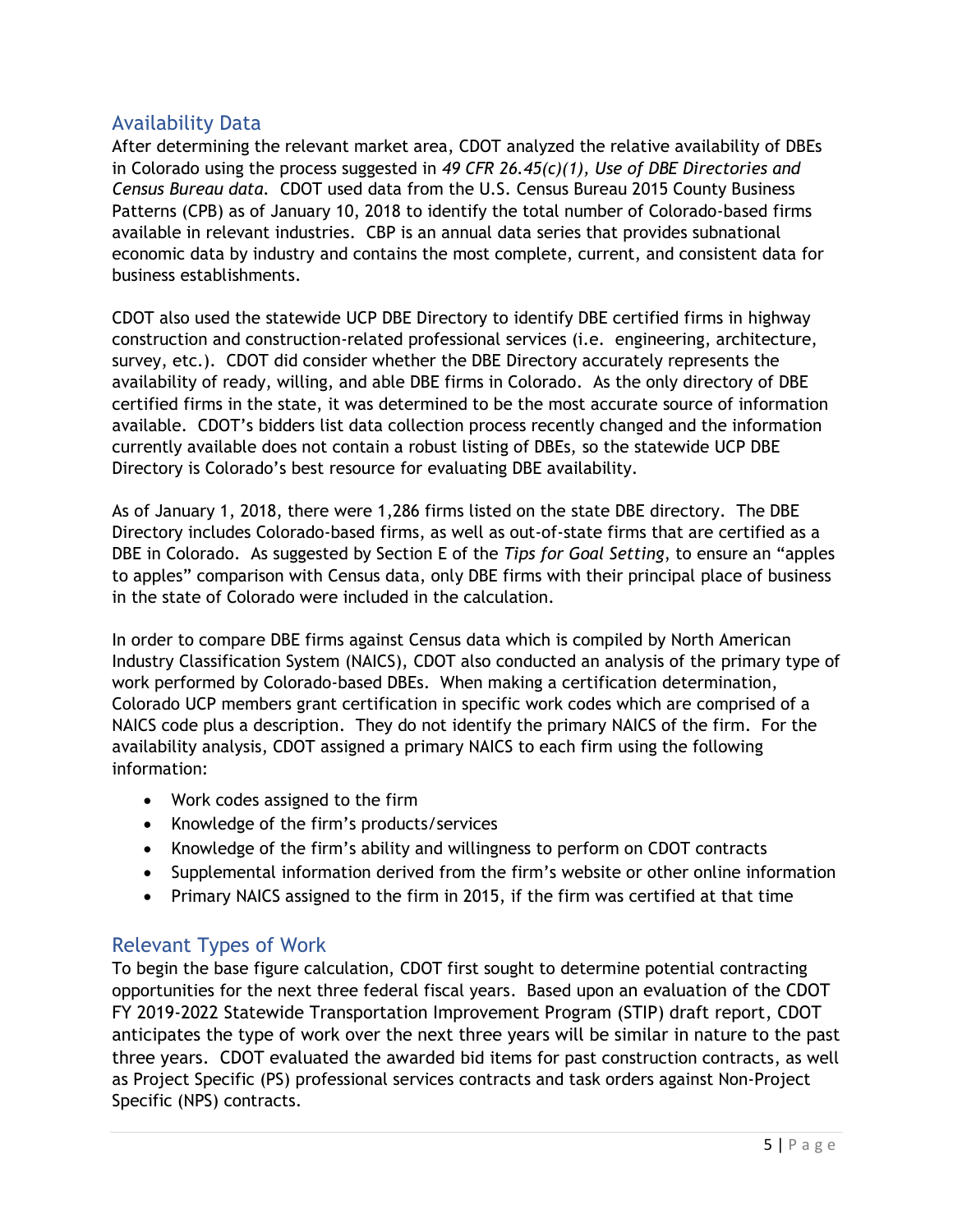#### <span id="page-4-0"></span>Availability Data

After determining the relevant market area, CDOT analyzed the relative availability of DBEs in Colorado using the process suggested in *49 CFR 26.45(c)(1), Use of DBE Directories and Census Bureau data.* CDOT used data from the U.S. Census Bureau 2015 County Business Patterns (CPB) as of January 10, 2018 to identify the total number of Colorado-based firms available in relevant industries. CBP is an annual data series that provides subnational economic data by industry and contains the most complete, current, and consistent data for business establishments.

CDOT also used the statewide UCP DBE Directory to identify DBE certified firms in highway construction and construction-related professional services (i.e. engineering, architecture, survey, etc.). CDOT did consider whether the DBE Directory accurately represents the availability of ready, willing, and able DBE firms in Colorado. As the only directory of DBE certified firms in the state, it was determined to be the most accurate source of information available. CDOT's bidders list data collection process recently changed and the information currently available does not contain a robust listing of DBEs, so the statewide UCP DBE Directory is Colorado's best resource for evaluating DBE availability.

As of January 1, 2018, there were 1,286 firms listed on the state DBE directory. The DBE Directory includes Colorado-based firms, as well as out-of-state firms that are certified as a DBE in Colorado. As suggested by Section E of the *Tips for Goal Setting*, to ensure an "apples to apples" comparison with Census data, only DBE firms with their principal place of business in the state of Colorado were included in the calculation.

In order to compare DBE firms against Census data which is compiled by North American Industry Classification System (NAICS), CDOT also conducted an analysis of the primary type of work performed by Colorado-based DBEs. When making a certification determination, Colorado UCP members grant certification in specific work codes which are comprised of a NAICS code plus a description. They do not identify the primary NAICS of the firm. For the availability analysis, CDOT assigned a primary NAICS to each firm using the following information:

- Work codes assigned to the firm
- Knowledge of the firm's products/services
- Knowledge of the firm's ability and willingness to perform on CDOT contracts
- Supplemental information derived from the firm's website or other online information
- Primary NAICS assigned to the firm in 2015, if the firm was certified at that time

#### <span id="page-4-1"></span>Relevant Types of Work

To begin the base figure calculation, CDOT first sought to determine potential contracting opportunities for the next three federal fiscal years. Based upon an evaluation of the CDOT FY 2019-2022 Statewide Transportation Improvement Program (STIP) draft report, CDOT anticipates the type of work over the next three years will be similar in nature to the past three years. CDOT evaluated the awarded bid items for past construction contracts, as well as Project Specific (PS) professional services contracts and task orders against Non-Project Specific (NPS) contracts.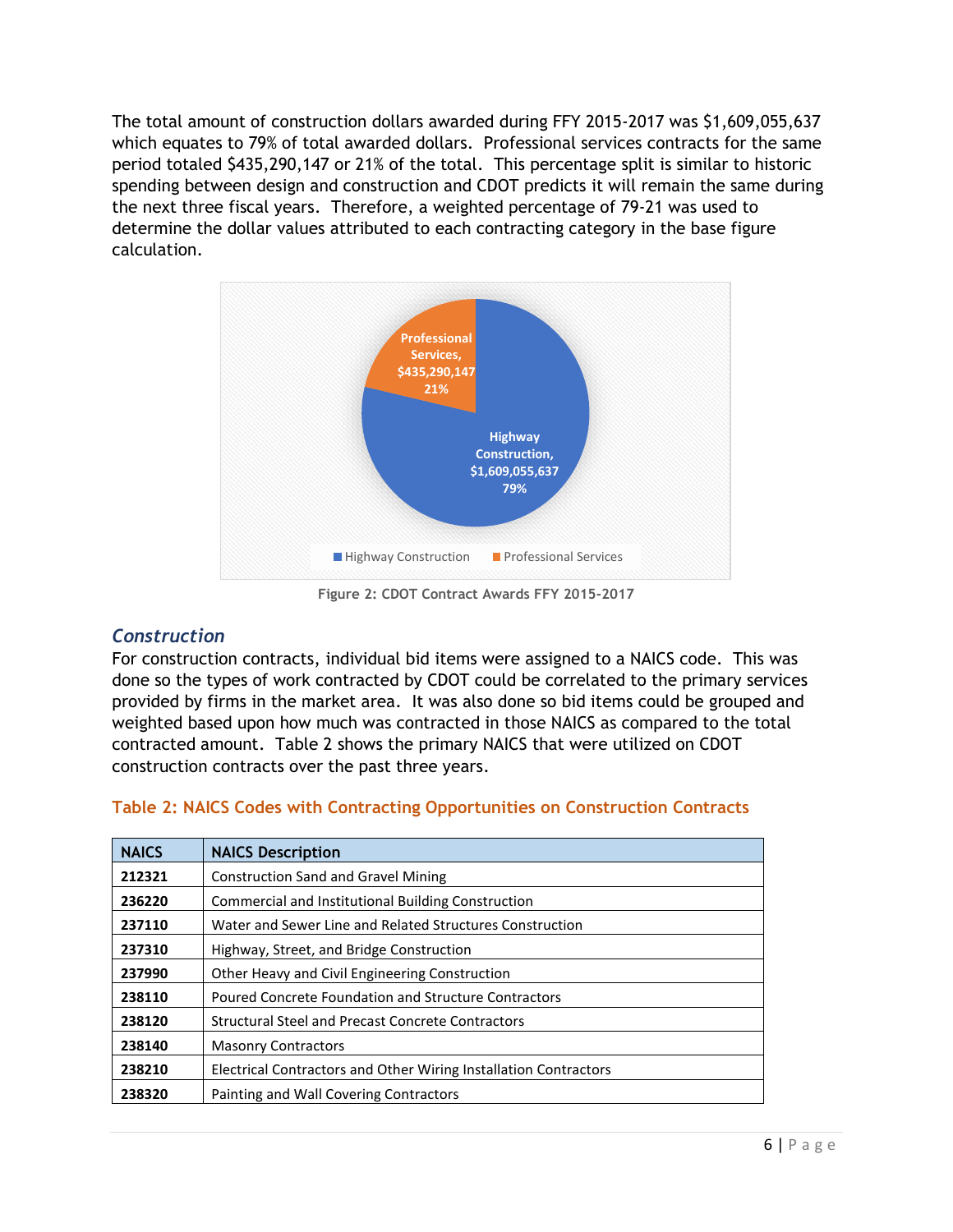The total amount of construction dollars awarded during FFY 2015-2017 was \$1,609,055,637 which equates to 79% of total awarded dollars. Professional services contracts for the same period totaled \$435,290,147 or 21% of the total. This percentage split is similar to historic spending between design and construction and CDOT predicts it will remain the same during the next three fiscal years. Therefore, a weighted percentage of 79-21 was used to determine the dollar values attributed to each contracting category in the base figure calculation.



**Figure 2: CDOT Contract Awards FFY 2015-2017**

#### <span id="page-5-0"></span>*Construction*

For construction contracts, individual bid items were assigned to a NAICS code. This was done so the types of work contracted by CDOT could be correlated to the primary services provided by firms in the market area. It was also done so bid items could be grouped and weighted based upon how much was contracted in those NAICS as compared to the total contracted amount. Table 2 shows the primary NAICS that were utilized on CDOT construction contracts over the past three years.

| <b>NAICS</b> | <b>NAICS Description</b>                                         |
|--------------|------------------------------------------------------------------|
| 212321       | <b>Construction Sand and Gravel Mining</b>                       |
| 236220       | Commercial and Institutional Building Construction               |
| 237110       | Water and Sewer Line and Related Structures Construction         |
| 237310       | Highway, Street, and Bridge Construction                         |
| 237990       | Other Heavy and Civil Engineering Construction                   |
| 238110       | Poured Concrete Foundation and Structure Contractors             |
| 238120       | <b>Structural Steel and Precast Concrete Contractors</b>         |
| 238140       | <b>Masonry Contractors</b>                                       |
| 238210       | Electrical Contractors and Other Wiring Installation Contractors |
| 238320       | Painting and Wall Covering Contractors                           |

#### **Table 2: NAICS Codes with Contracting Opportunities on Construction Contracts**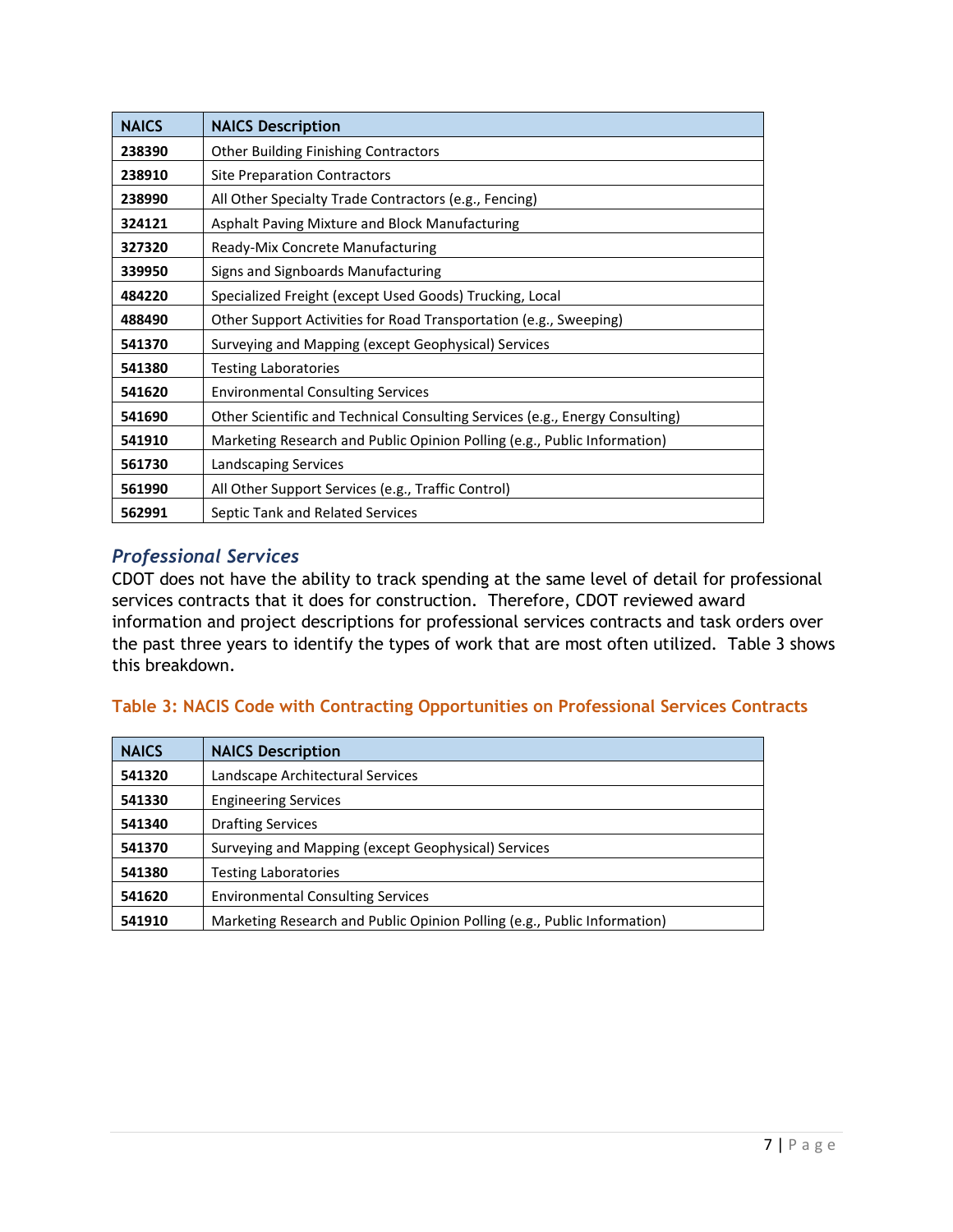| <b>NAICS</b> | <b>NAICS Description</b>                                                     |
|--------------|------------------------------------------------------------------------------|
| 238390       | <b>Other Building Finishing Contractors</b>                                  |
| 238910       | <b>Site Preparation Contractors</b>                                          |
| 238990       | All Other Specialty Trade Contractors (e.g., Fencing)                        |
| 324121       | Asphalt Paving Mixture and Block Manufacturing                               |
| 327320       | Ready-Mix Concrete Manufacturing                                             |
| 339950       | Signs and Signboards Manufacturing                                           |
| 484220       | Specialized Freight (except Used Goods) Trucking, Local                      |
| 488490       | Other Support Activities for Road Transportation (e.g., Sweeping)            |
| 541370       | Surveying and Mapping (except Geophysical) Services                          |
| 541380       | <b>Testing Laboratories</b>                                                  |
| 541620       | <b>Environmental Consulting Services</b>                                     |
| 541690       | Other Scientific and Technical Consulting Services (e.g., Energy Consulting) |
| 541910       | Marketing Research and Public Opinion Polling (e.g., Public Information)     |
| 561730       | Landscaping Services                                                         |
| 561990       | All Other Support Services (e.g., Traffic Control)                           |
| 562991       | Septic Tank and Related Services                                             |

#### <span id="page-6-0"></span>*Professional Services*

CDOT does not have the ability to track spending at the same level of detail for professional services contracts that it does for construction. Therefore, CDOT reviewed award information and project descriptions for professional services contracts and task orders over the past three years to identify the types of work that are most often utilized. Table 3 shows this breakdown.

#### **Table 3: NACIS Code with Contracting Opportunities on Professional Services Contracts**

| <b>NAICS</b> | <b>NAICS Description</b>                                                 |
|--------------|--------------------------------------------------------------------------|
| 541320       | Landscape Architectural Services                                         |
| 541330       | <b>Engineering Services</b>                                              |
| 541340       | <b>Drafting Services</b>                                                 |
| 541370       | Surveying and Mapping (except Geophysical) Services                      |
| 541380       | <b>Testing Laboratories</b>                                              |
| 541620       | <b>Environmental Consulting Services</b>                                 |
| 541910       | Marketing Research and Public Opinion Polling (e.g., Public Information) |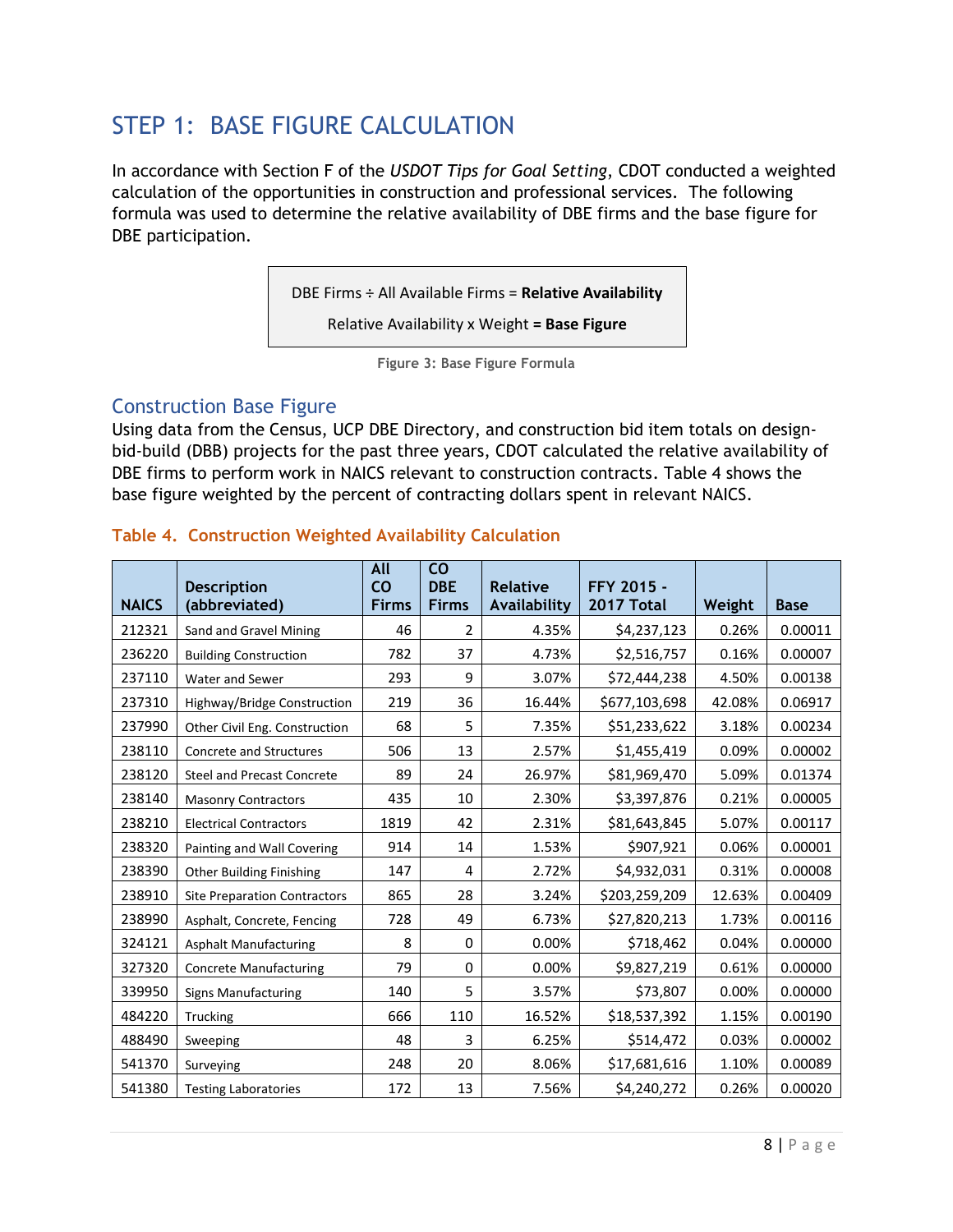# <span id="page-7-0"></span>STEP 1: BASE FIGURE CALCULATION

In accordance with Section F of the *USDOT Tips for Goal Setting*, CDOT conducted a weighted calculation of the opportunities in construction and professional services. The following formula was used to determine the relative availability of DBE firms and the base figure for DBE participation.

DBE Firms ÷ All Available Firms = **Relative Availability**

Relative Availability x Weight **= Base Figure**

**Figure 3: Base Figure Formula**

#### <span id="page-7-1"></span>Construction Base Figure

Using data from the Census, UCP DBE Directory, and construction bid item totals on designbid-build (DBB) projects for the past three years, CDOT calculated the relative availability of DBE firms to perform work in NAICS relevant to construction contracts. Table 4 shows the base figure weighted by the percent of contracting dollars spent in relevant NAICS.

#### **Table 4. Construction Weighted Availability Calculation**

| <b>NAICS</b> | <b>Description</b><br>(abbreviated) | <b>All</b><br><b>CO</b><br><b>Firms</b> | $\overline{\text{co}}$<br><b>DBE</b><br><b>Firms</b> | <b>Relative</b><br>Availability | FFY 2015 -<br>2017 Total | Weight | <b>Base</b> |
|--------------|-------------------------------------|-----------------------------------------|------------------------------------------------------|---------------------------------|--------------------------|--------|-------------|
| 212321       | Sand and Gravel Mining              | 46                                      | 2                                                    | 4.35%                           | \$4,237,123              | 0.26%  | 0.00011     |
| 236220       | <b>Building Construction</b>        | 782                                     | 37                                                   | 4.73%                           | \$2,516,757              | 0.16%  | 0.00007     |
| 237110       | Water and Sewer                     | 293                                     | 9                                                    | 3.07%                           | \$72,444,238             | 4.50%  | 0.00138     |
| 237310       | Highway/Bridge Construction         | 219                                     | 36                                                   | 16.44%                          | \$677,103,698            | 42.08% | 0.06917     |
| 237990       | Other Civil Eng. Construction       | 68                                      | 5                                                    | 7.35%                           | \$51,233,622             | 3.18%  | 0.00234     |
| 238110       | Concrete and Structures             | 506                                     | 13                                                   | 2.57%                           | \$1,455,419              | 0.09%  | 0.00002     |
| 238120       | <b>Steel and Precast Concrete</b>   | 89                                      | 24                                                   | 26.97%                          | \$81,969,470             | 5.09%  | 0.01374     |
| 238140       | <b>Masonry Contractors</b>          | 435                                     | 10                                                   | 2.30%                           | \$3,397,876              | 0.21%  | 0.00005     |
| 238210       | <b>Electrical Contractors</b>       | 1819                                    | 42                                                   | 2.31%                           | \$81,643,845             | 5.07%  | 0.00117     |
| 238320       | Painting and Wall Covering          | 914                                     | 14                                                   | 1.53%                           | \$907,921                | 0.06%  | 0.00001     |
| 238390       | <b>Other Building Finishing</b>     | 147                                     | 4                                                    | 2.72%                           | \$4,932,031              | 0.31%  | 0.00008     |
| 238910       | <b>Site Preparation Contractors</b> | 865                                     | 28                                                   | 3.24%                           | \$203,259,209            | 12.63% | 0.00409     |
| 238990       | Asphalt, Concrete, Fencing          | 728                                     | 49                                                   | 6.73%                           | \$27,820,213             | 1.73%  | 0.00116     |
| 324121       | <b>Asphalt Manufacturing</b>        | 8                                       | 0                                                    | 0.00%                           | \$718,462                | 0.04%  | 0.00000     |
| 327320       | <b>Concrete Manufacturing</b>       | 79                                      | $\Omega$                                             | 0.00%                           | \$9,827,219              | 0.61%  | 0.00000     |
| 339950       | <b>Signs Manufacturing</b>          | 140                                     | 5                                                    | 3.57%                           | \$73,807                 | 0.00%  | 0.00000     |
| 484220       | Trucking                            | 666                                     | 110                                                  | 16.52%                          | \$18,537,392             | 1.15%  | 0.00190     |
| 488490       | Sweeping                            | 48                                      | 3                                                    | 6.25%                           | \$514,472                | 0.03%  | 0.00002     |
| 541370       | Surveying                           | 248                                     | 20                                                   | 8.06%                           | \$17,681,616             | 1.10%  | 0.00089     |
| 541380       | <b>Testing Laboratories</b>         | 172                                     | 13                                                   | 7.56%                           | \$4,240,272              | 0.26%  | 0.00020     |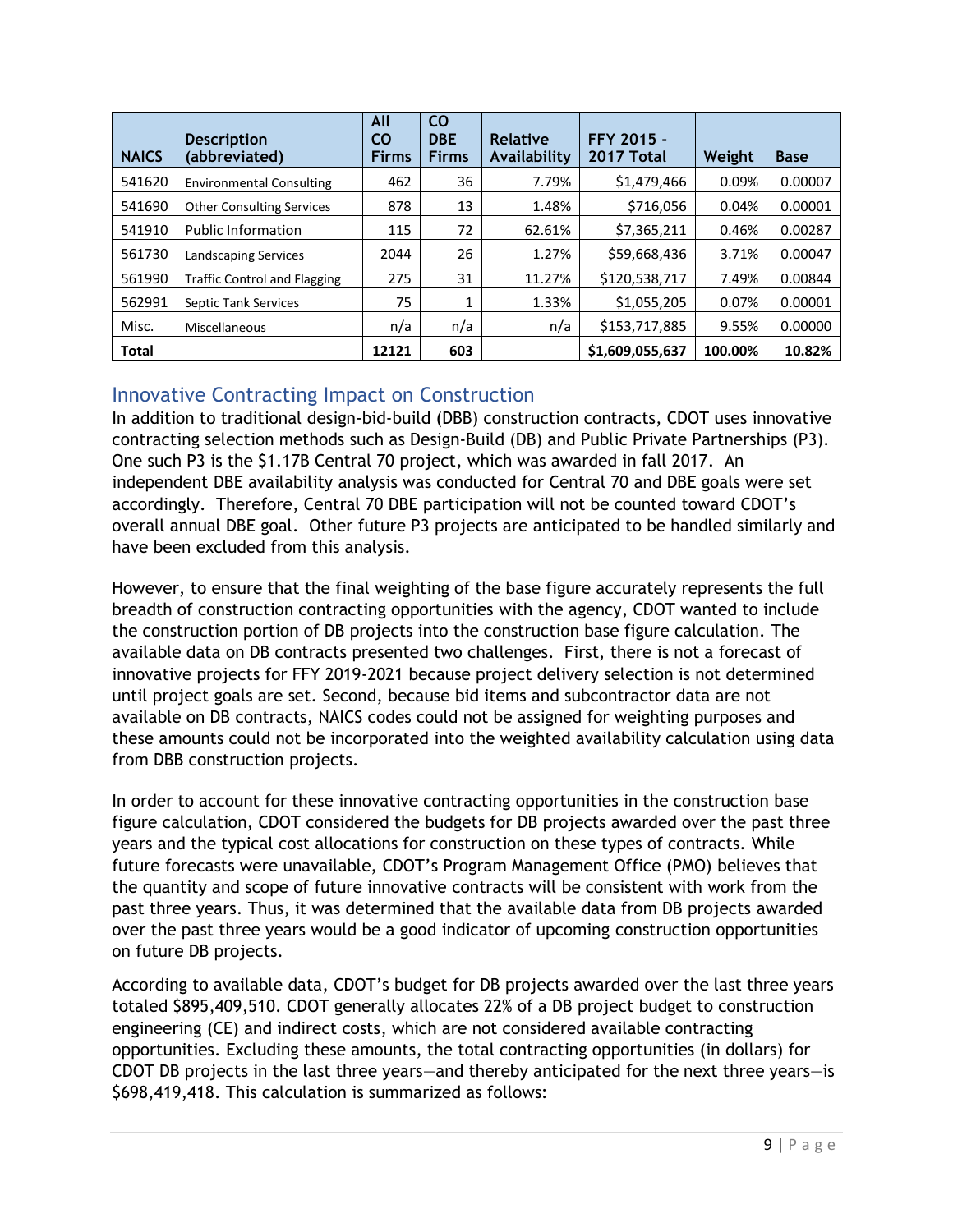| <b>NAICS</b> | <b>Description</b><br>(abbreviated) | All<br>CO<br><b>Firms</b> | <b>CO</b><br><b>DBE</b><br><b>Firms</b> | <b>Relative</b><br>Availability | FFY 2015 -<br>2017 Total | Weight  | <b>Base</b> |
|--------------|-------------------------------------|---------------------------|-----------------------------------------|---------------------------------|--------------------------|---------|-------------|
| 541620       | <b>Environmental Consulting</b>     | 462                       | 36                                      | 7.79%                           | \$1,479,466              | 0.09%   | 0.00007     |
| 541690       | <b>Other Consulting Services</b>    | 878                       | 13                                      | 1.48%                           | \$716,056                | 0.04%   | 0.00001     |
| 541910       | <b>Public Information</b>           | 115                       | 72                                      | 62.61%                          | \$7,365,211              | 0.46%   | 0.00287     |
| 561730       | Landscaping Services                | 2044                      | 26                                      | 1.27%                           | \$59,668,436             | 3.71%   | 0.00047     |
| 561990       | <b>Traffic Control and Flagging</b> | 275                       | 31                                      | 11.27%                          | \$120,538,717            | 7.49%   | 0.00844     |
| 562991       | <b>Septic Tank Services</b>         | 75                        | 1                                       | 1.33%                           | \$1,055,205              | 0.07%   | 0.00001     |
| Misc.        | Miscellaneous                       | n/a                       | n/a                                     | n/a                             | \$153,717,885            | 9.55%   | 0.00000     |
| <b>Total</b> |                                     | 12121                     | 603                                     |                                 | \$1,609,055,637          | 100.00% | 10.82%      |

#### <span id="page-8-0"></span>Innovative Contracting Impact on Construction

In addition to traditional design-bid-build (DBB) construction contracts, CDOT uses innovative contracting selection methods such as Design-Build (DB) and Public Private Partnerships (P3). One such P3 is the \$1.17B Central 70 project, which was awarded in fall 2017. An independent DBE availability analysis was conducted for Central 70 and DBE goals were set accordingly. Therefore, Central 70 DBE participation will not be counted toward CDOT's overall annual DBE goal. Other future P3 projects are anticipated to be handled similarly and have been excluded from this analysis.

However, to ensure that the final weighting of the base figure accurately represents the full breadth of construction contracting opportunities with the agency, CDOT wanted to include the construction portion of DB projects into the construction base figure calculation. The available data on DB contracts presented two challenges. First, there is not a forecast of innovative projects for FFY 2019-2021 because project delivery selection is not determined until project goals are set. Second, because bid items and subcontractor data are not available on DB contracts, NAICS codes could not be assigned for weighting purposes and these amounts could not be incorporated into the weighted availability calculation using data from DBB construction projects.

In order to account for these innovative contracting opportunities in the construction base figure calculation, CDOT considered the budgets for DB projects awarded over the past three years and the typical cost allocations for construction on these types of contracts. While future forecasts were unavailable, CDOT's Program Management Office (PMO) believes that the quantity and scope of future innovative contracts will be consistent with work from the past three years. Thus, it was determined that the available data from DB projects awarded over the past three years would be a good indicator of upcoming construction opportunities on future DB projects.

According to available data, CDOT's budget for DB projects awarded over the last three years totaled \$895,409,510. CDOT generally allocates 22% of a DB project budget to construction engineering (CE) and indirect costs, which are not considered available contracting opportunities. Excluding these amounts, the total contracting opportunities (in dollars) for CDOT DB projects in the last three years—and thereby anticipated for the next three years—is \$698,419,418. This calculation is summarized as follows: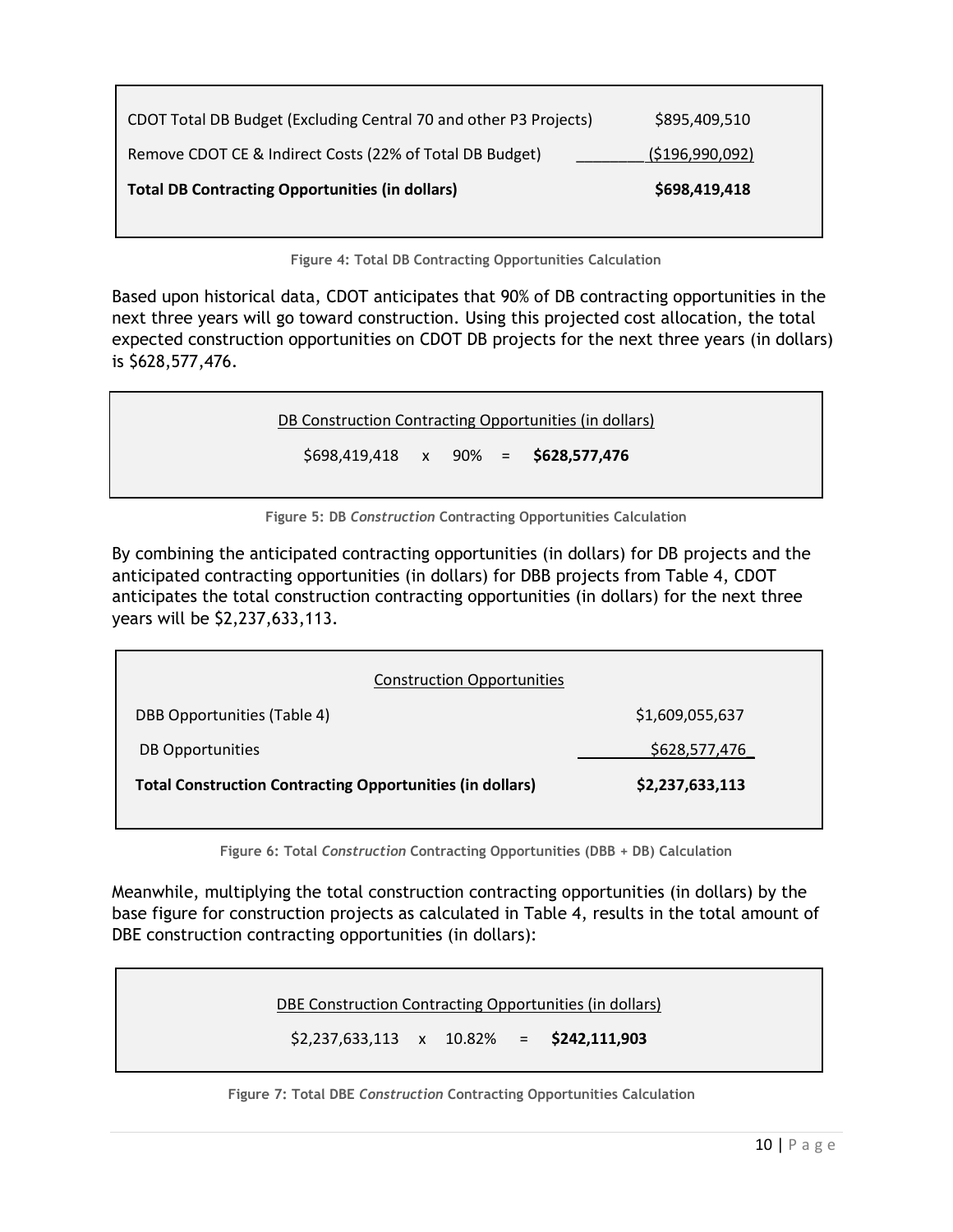| <b>Total DB Contracting Opportunities (in dollars)</b>            | \$698,419,418      |
|-------------------------------------------------------------------|--------------------|
| Remove CDOT CE & Indirect Costs (22% of Total DB Budget)          | ( \$196, 990, 092) |
| CDOT Total DB Budget (Excluding Central 70 and other P3 Projects) | \$895,409,510      |

**Figure 4: Total DB Contracting Opportunities Calculation**

Based upon historical data, CDOT anticipates that 90% of DB contracting opportunities in the next three years will go toward construction. Using this projected cost allocation, the total expected construction opportunities on CDOT DB projects for the next three years (in dollars) is \$628,577,476.

DB Construction Contracting Opportunities (in dollars)

\$698,419,418 x 90% = **\$628,577,476**

**Figure 5: DB** *Construction* **Contracting Opportunities Calculation**

By combining the anticipated contracting opportunities (in dollars) for DB projects and the anticipated contracting opportunities (in dollars) for DBB projects from Table 4, CDOT anticipates the total construction contracting opportunities (in dollars) for the next three years will be \$2,237,633,113.

| <b>Construction Opportunities</b>                                |                 |
|------------------------------------------------------------------|-----------------|
| DBB Opportunities (Table 4)                                      | \$1,609,055,637 |
| DB Opportunities                                                 | \$628,577,476   |
| <b>Total Construction Contracting Opportunities (in dollars)</b> | \$2,237,633,113 |

**Figure 6: Total** *Construction* **Contracting Opportunities (DBB + DB) Calculation**

Meanwhile, multiplying the total construction contracting opportunities (in dollars) by the base figure for construction projects as calculated in Table 4, results in the total amount of DBE construction contracting opportunities (in dollars):

<span id="page-9-0"></span>DBE Construction Contracting Opportunities (in dollars)

\$2,237,633,113 x 10.82% = **\$242,111,903**

**Figure 7: Total DBE** *Construction* **Contracting Opportunities Calculation**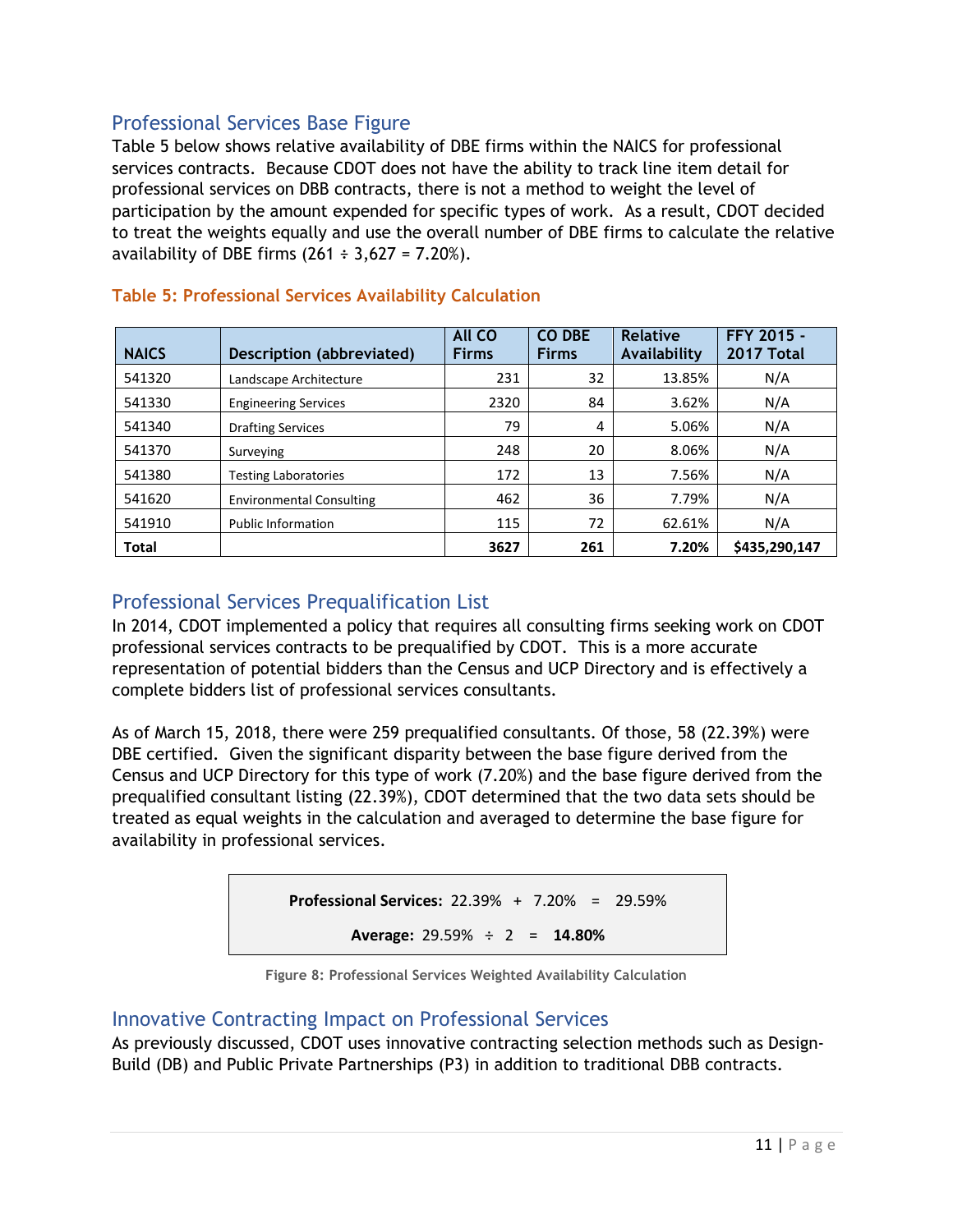#### Professional Services Base Figure

Table 5 below shows relative availability of DBE firms within the NAICS for professional services contracts. Because CDOT does not have the ability to track line item detail for professional services on DBB contracts, there is not a method to weight the level of participation by the amount expended for specific types of work. As a result, CDOT decided to treat the weights equally and use the overall number of DBE firms to calculate the relative availability of DBE firms  $(261 \div 3,627 = 7.20\%)$ .

| <b>NAICS</b> | Description (abbreviated)       | <b>All CO</b><br><b>Firms</b> | <b>CO DBE</b><br><b>Firms</b> | <b>Relative</b><br>Availability | FFY 2015 -<br>2017 Total |
|--------------|---------------------------------|-------------------------------|-------------------------------|---------------------------------|--------------------------|
| 541320       | Landscape Architecture          | 231                           | 32                            | 13.85%                          | N/A                      |
| 541330       | <b>Engineering Services</b>     | 2320                          | 84                            | 3.62%                           | N/A                      |
| 541340       | <b>Drafting Services</b>        | 79                            | 4                             | 5.06%                           | N/A                      |
| 541370       | Surveying                       | 248                           | 20                            | 8.06%                           | N/A                      |
| 541380       | <b>Testing Laboratories</b>     | 172                           | 13                            | 7.56%                           | N/A                      |
| 541620       | <b>Environmental Consulting</b> | 462                           | 36                            | 7.79%                           | N/A                      |
| 541910       | <b>Public Information</b>       | 115                           | 72                            | 62.61%                          | N/A                      |
| <b>Total</b> |                                 | 3627                          | 261                           | 7.20%                           | \$435,290,147            |

#### **Table 5: Professional Services Availability Calculation**

#### <span id="page-10-0"></span>Professional Services Prequalification List

In 2014, CDOT implemented a policy that requires all consulting firms seeking work on CDOT professional services contracts to be prequalified by CDOT. This is a more accurate representation of potential bidders than the Census and UCP Directory and is effectively a complete bidders list of professional services consultants.

As of March 15, 2018, there were 259 prequalified consultants. Of those, 58 (22.39%) were DBE certified. Given the significant disparity between the base figure derived from the Census and UCP Directory for this type of work (7.20%) and the base figure derived from the prequalified consultant listing (22.39%), CDOT determined that the two data sets should be treated as equal weights in the calculation and averaged to determine the base figure for availability in professional services.

| <b>Professional Services:</b> 22.39% + $7.20\%$ = 29.59% |  |
|----------------------------------------------------------|--|
| Average: $29.59\% \div 2 = 14.80\%$                      |  |



#### <span id="page-10-1"></span>Innovative Contracting Impact on Professional Services

As previously discussed, CDOT uses innovative contracting selection methods such as Design-Build (DB) and Public Private Partnerships (P3) in addition to traditional DBB contracts.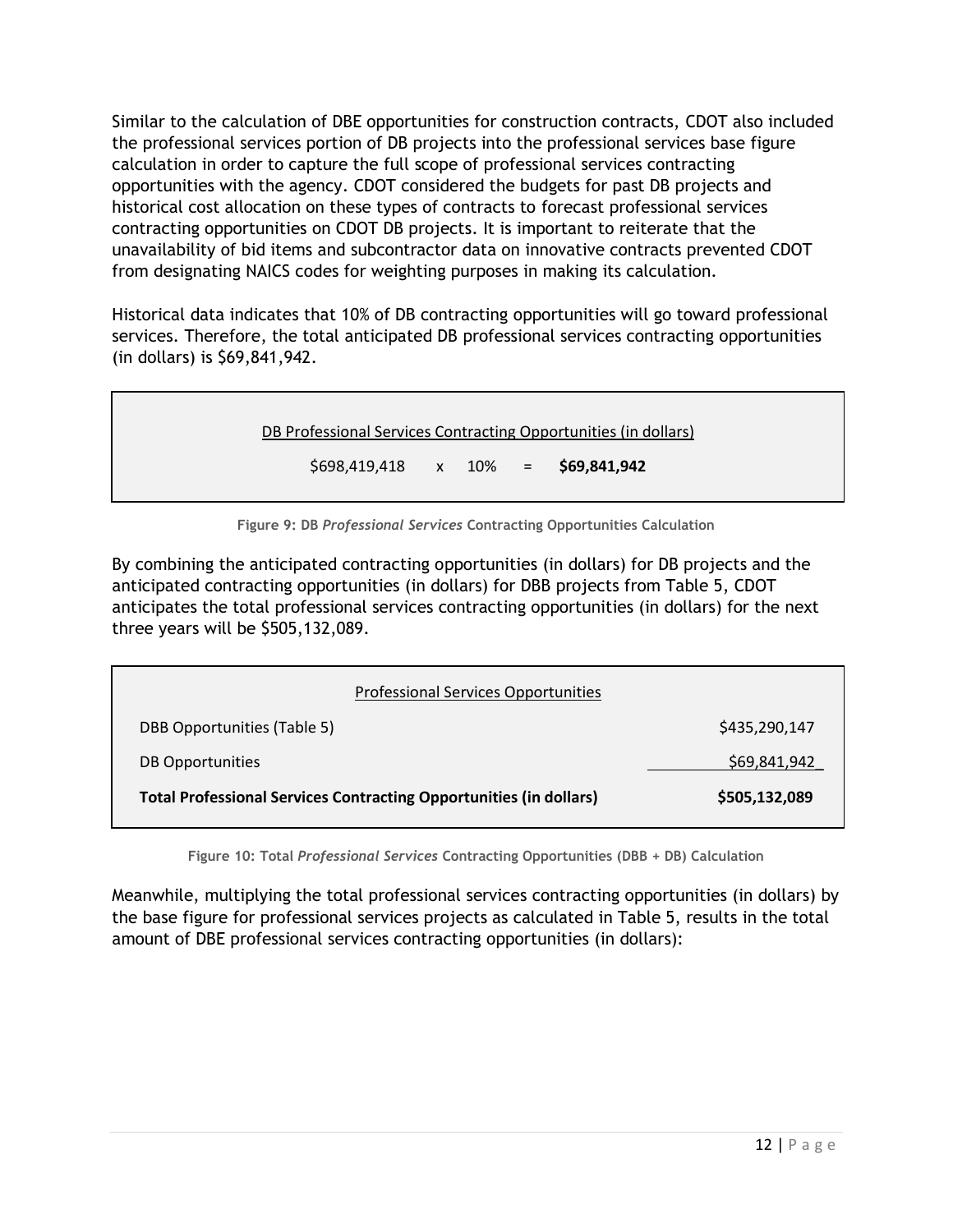Similar to the calculation of DBE opportunities for construction contracts, CDOT also included the professional services portion of DB projects into the professional services base figure calculation in order to capture the full scope of professional services contracting opportunities with the agency. CDOT considered the budgets for past DB projects and historical cost allocation on these types of contracts to forecast professional services contracting opportunities on CDOT DB projects. It is important to reiterate that the unavailability of bid items and subcontractor data on innovative contracts prevented CDOT from designating NAICS codes for weighting purposes in making its calculation.

Historical data indicates that 10% of DB contracting opportunities will go toward professional services. Therefore, the total anticipated DB professional services contracting opportunities (in dollars) is \$69,841,942.

DB Professional Services Contracting Opportunities (in dollars)

\$698,419,418 x 10% = **\$69,841,942**

**Figure 9: DB** *Professional Services* **Contracting Opportunities Calculation**

By combining the anticipated contracting opportunities (in dollars) for DB projects and the anticipated contracting opportunities (in dollars) for DBB projects from Table 5, CDOT anticipates the total professional services contracting opportunities (in dollars) for the next three years will be \$505,132,089.

| <b>Professional Services Opportunities</b>                                |               |  |  |  |
|---------------------------------------------------------------------------|---------------|--|--|--|
| DBB Opportunities (Table 5)                                               | \$435,290,147 |  |  |  |
| DB Opportunities                                                          | \$69,841,942  |  |  |  |
| <b>Total Professional Services Contracting Opportunities (in dollars)</b> | \$505,132,089 |  |  |  |

**Figure 10: Total** *Professional Services* **Contracting Opportunities (DBB + DB) Calculation**

Meanwhile, multiplying the total professional services contracting opportunities (in dollars) by the base figure for professional services projects as calculated in Table 5, results in the total amount of DBE professional services contracting opportunities (in dollars):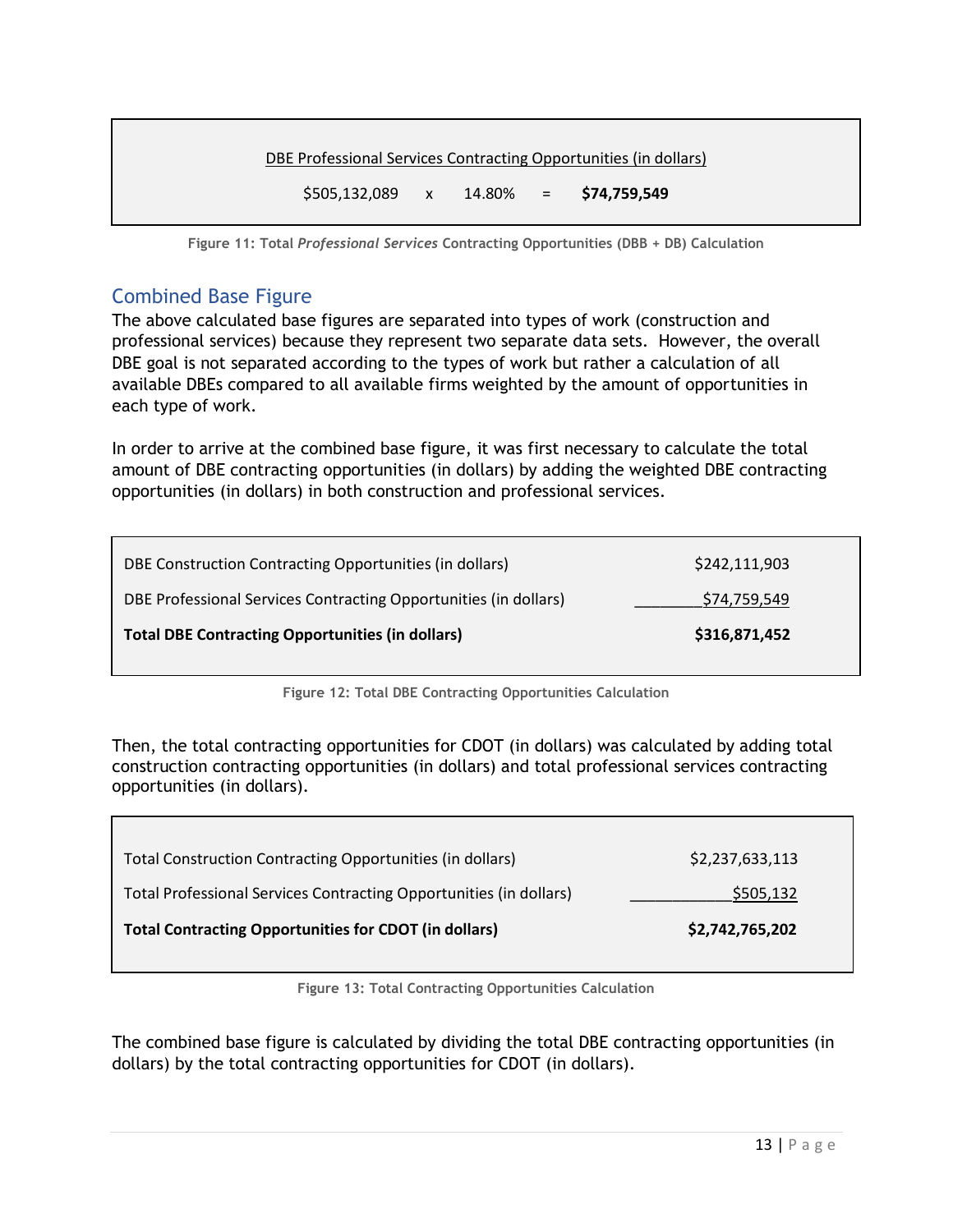<span id="page-12-0"></span>

| DBE Professional Services Contracting Opportunities (in dollars) |  |  |  |
|------------------------------------------------------------------|--|--|--|
| $$505,132,089$ x $14.80\%$ = $$74,759,549$                       |  |  |  |

**Figure 11: Total** *Professional Services* **Contracting Opportunities (DBB + DB) Calculation**

#### Combined Base Figure

The above calculated base figures are separated into types of work (construction and professional services) because they represent two separate data sets. However, the overall DBE goal is not separated according to the types of work but rather a calculation of all available DBEs compared to all available firms weighted by the amount of opportunities in each type of work.

In order to arrive at the combined base figure, it was first necessary to calculate the total amount of DBE contracting opportunities (in dollars) by adding the weighted DBE contracting opportunities (in dollars) in both construction and professional services.

| DBE Construction Contracting Opportunities (in dollars)          | \$242,111,903 |
|------------------------------------------------------------------|---------------|
| DBE Professional Services Contracting Opportunities (in dollars) | \$74,759,549  |
| <b>Total DBE Contracting Opportunities (in dollars)</b>          | \$316,871,452 |

**Figure 12: Total DBE Contracting Opportunities Calculation**

Then, the total contracting opportunities for CDOT (in dollars) was calculated by adding total construction contracting opportunities (in dollars) and total professional services contracting opportunities (in dollars).

| Total Construction Contracting Opportunities (in dollars)          | \$2,237,633,113 |  |
|--------------------------------------------------------------------|-----------------|--|
| Total Professional Services Contracting Opportunities (in dollars) | \$505,132       |  |
| <b>Total Contracting Opportunities for CDOT (in dollars)</b>       | \$2,742,765,202 |  |
|                                                                    |                 |  |

**Figure 13: Total Contracting Opportunities Calculation**

The combined base figure is calculated by dividing the total DBE contracting opportunities (in dollars) by the total contracting opportunities for CDOT (in dollars).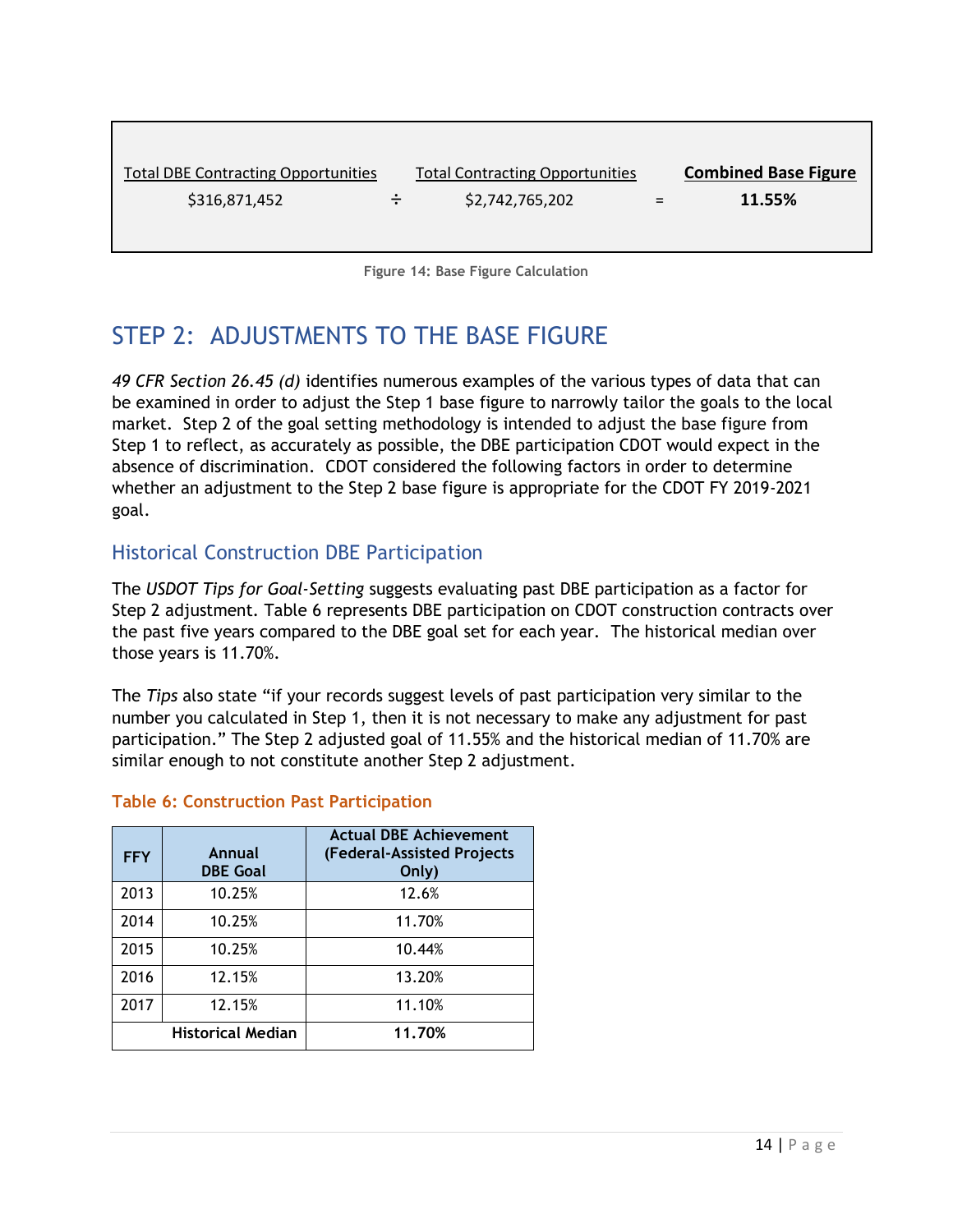<span id="page-13-0"></span>

| <b>Total DBE Contracting Opportunities</b> |        | <b>Total Contracting Opportunities</b> |     | <b>Combined Base Figure</b> |
|--------------------------------------------|--------|----------------------------------------|-----|-----------------------------|
| \$316,871,452                              | $\div$ | \$2,742,765,202                        | $=$ | 11.55%                      |

**Figure 14: Base Figure Calculation**

# STEP 2: ADJUSTMENTS TO THE BASE FIGURE

*49 CFR Section 26.45 (d)* identifies numerous examples of the various types of data that can be examined in order to adjust the Step 1 base figure to narrowly tailor the goals to the local market. Step 2 of the goal setting methodology is intended to adjust the base figure from Step 1 to reflect, as accurately as possible, the DBE participation CDOT would expect in the absence of discrimination. CDOT considered the following factors in order to determine whether an adjustment to the Step 2 base figure is appropriate for the CDOT FY 2019-2021 goal.

#### Historical Construction DBE Participation

The *USDOT Tips for Goal‐Setting* suggests evaluating past DBE participation as a factor for Step 2 adjustment. Table 6 represents DBE participation on CDOT construction contracts over the past five years compared to the DBE goal set for each year. The historical median over those years is 11.70%.

The *Tips* also state "if your records suggest levels of past participation very similar to the number you calculated in Step 1, then it is not necessary to make any adjustment for past participation." The Step 2 adjusted goal of 11.55% and the historical median of 11.70% are similar enough to not constitute another Step 2 adjustment.

#### **Table 6: Construction Past Participation**

| <b>FFY</b> | Annual<br><b>DBE Goal</b> | <b>Actual DBE Achievement</b><br>(Federal-Assisted Projects<br>Only) |
|------------|---------------------------|----------------------------------------------------------------------|
| 2013       | 10.25%                    | 12.6%                                                                |
| 2014       | 10.25%                    | 11.70%                                                               |
| 2015       | 10.25%                    | 10.44%                                                               |
| 2016       | 12.15%                    | 13.20%                                                               |
| 2017       | 12.15%                    | 11.10%                                                               |
|            | <b>Historical Median</b>  | 11.70%                                                               |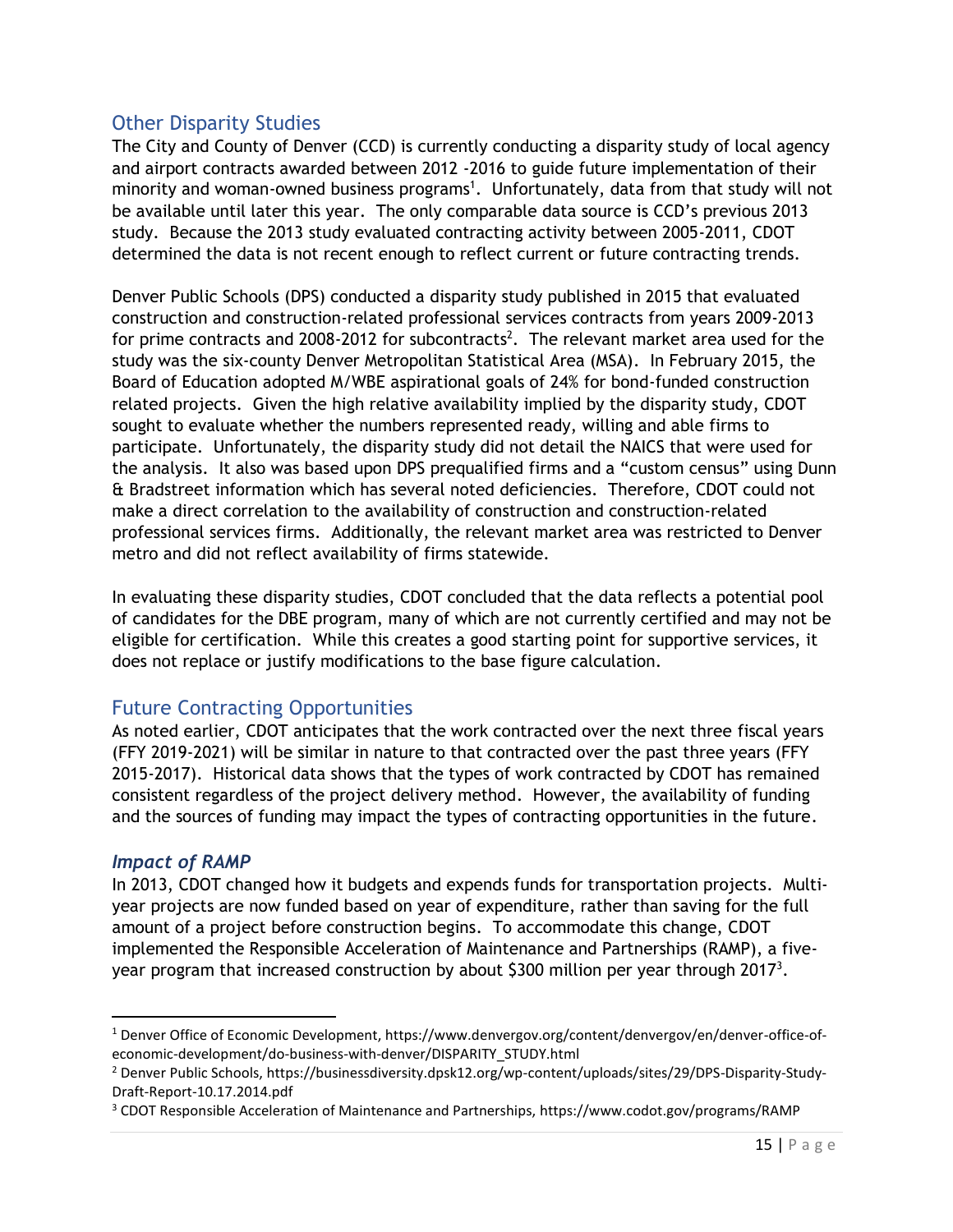#### <span id="page-14-0"></span>Other Disparity Studies

The City and County of Denver (CCD) is currently conducting a disparity study of local agency and airport contracts awarded between 2012 -2016 to guide future implementation of their minority and woman-owned business programs<sup>1</sup>. Unfortunately, data from that study will not be available until later this year. The only comparable data source is CCD's previous 2013 study. Because the 2013 study evaluated contracting activity between 2005-2011, CDOT determined the data is not recent enough to reflect current or future contracting trends.

Denver Public Schools (DPS) conducted a disparity study published in 2015 that evaluated construction and construction-related professional services contracts from years 2009-2013 for prime contracts and 2008-2012 for subcontracts<sup>2</sup>. The relevant market area used for the study was the six-county Denver Metropolitan Statistical Area (MSA). In February 2015, the Board of Education adopted M/WBE aspirational goals of 24% for bond-funded construction related projects. Given the high relative availability implied by the disparity study, CDOT sought to evaluate whether the numbers represented ready, willing and able firms to participate. Unfortunately, the disparity study did not detail the NAICS that were used for the analysis. It also was based upon DPS prequalified firms and a "custom census" using Dunn & Bradstreet information which has several noted deficiencies. Therefore, CDOT could not make a direct correlation to the availability of construction and construction-related professional services firms. Additionally, the relevant market area was restricted to Denver metro and did not reflect availability of firms statewide.

In evaluating these disparity studies, CDOT concluded that the data reflects a potential pool of candidates for the DBE program, many of which are not currently certified and may not be eligible for certification. While this creates a good starting point for supportive services, it does not replace or justify modifications to the base figure calculation.

#### <span id="page-14-1"></span>Future Contracting Opportunities

As noted earlier, CDOT anticipates that the work contracted over the next three fiscal years (FFY 2019-2021) will be similar in nature to that contracted over the past three years (FFY 2015-2017). Historical data shows that the types of work contracted by CDOT has remained consistent regardless of the project delivery method. However, the availability of funding and the sources of funding may impact the types of contracting opportunities in the future.

#### <span id="page-14-2"></span>*Impact of RAMP*

 $\overline{\phantom{a}}$ 

In 2013, CDOT changed how it budgets and expends funds for transportation projects. Multiyear projects are now funded based on year of expenditure, rather than saving for the full amount of a project before construction begins. To accommodate this change, CDOT implemented the Responsible Acceleration of Maintenance and Partnerships (RAMP), a fiveyear program that increased construction by about \$300 million per year through 2017<sup>3</sup>.

<sup>1</sup> Denver Office of Economic Development, https://www.denvergov.org/content/denvergov/en/denver-office-ofeconomic-development/do-business-with-denver/DISPARITY\_STUDY.html

<sup>2</sup> Denver Public Schools, https://businessdiversity.dpsk12.org/wp-content/uploads/sites/29/DPS-Disparity-Study-Draft-Report-10.17.2014.pdf

<sup>3</sup> CDOT Responsible Acceleration of Maintenance and Partnerships, https://www.codot.gov/programs/RAMP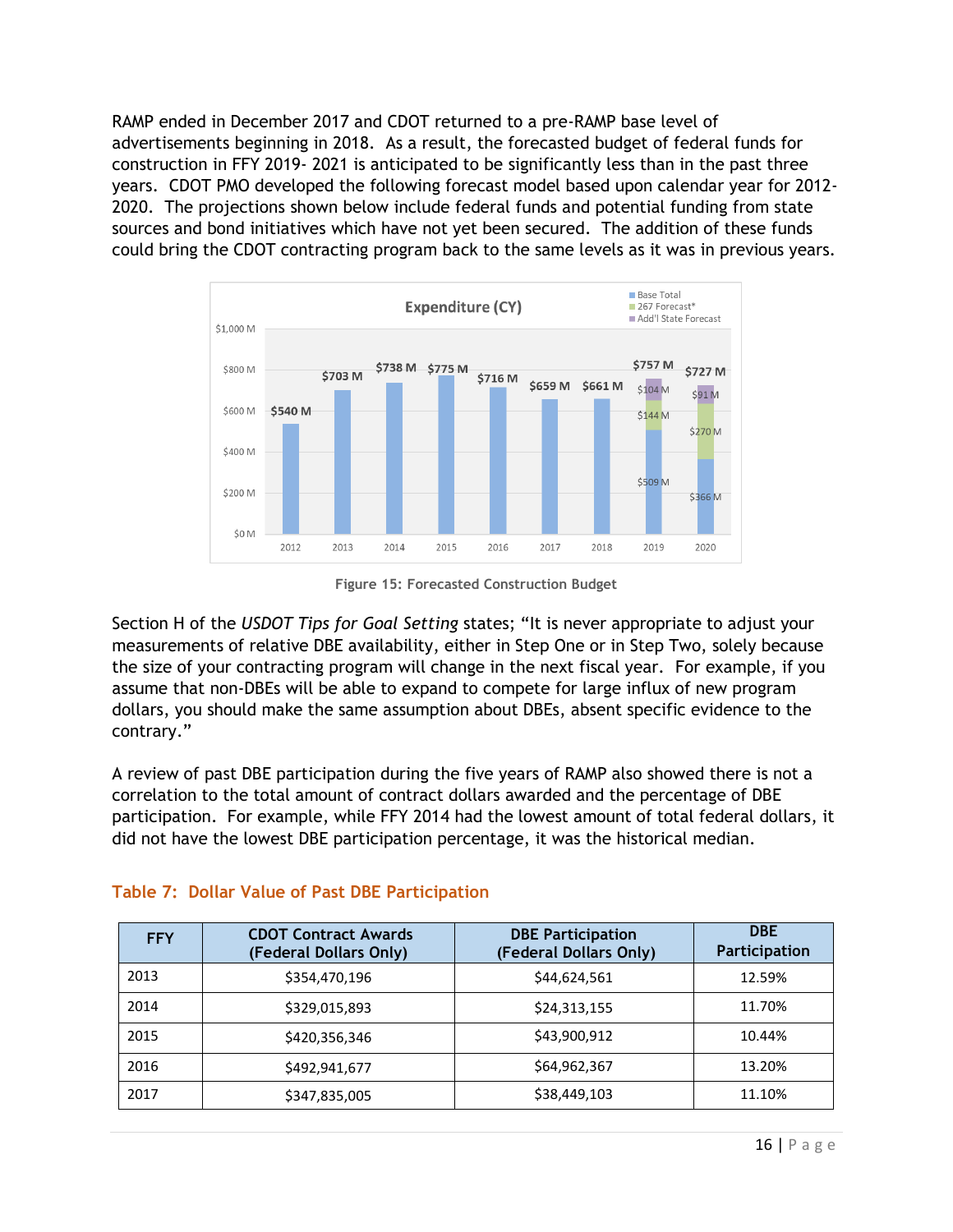RAMP ended in December 2017 and CDOT returned to a pre-RAMP base level of advertisements beginning in 2018. As a result, the forecasted budget of federal funds for construction in FFY 2019- 2021 is anticipated to be significantly less than in the past three years. CDOT PMO developed the following forecast model based upon calendar year for 2012- 2020. The projections shown below include federal funds and potential funding from state sources and bond initiatives which have not yet been secured. The addition of these funds could bring the CDOT contracting program back to the same levels as it was in previous years.



**Figure 15: Forecasted Construction Budget**

Section H of the *USDOT Tips for Goal Setting* states; "It is never appropriate to adjust your measurements of relative DBE availability, either in Step One or in Step Two, solely because the size of your contracting program will change in the next fiscal year. For example, if you assume that non-DBEs will be able to expand to compete for large influx of new program dollars, you should make the same assumption about DBEs, absent specific evidence to the contrary."

A review of past DBE participation during the five years of RAMP also showed there is not a correlation to the total amount of contract dollars awarded and the percentage of DBE participation. For example, while FFY 2014 had the lowest amount of total federal dollars, it did not have the lowest DBE participation percentage, it was the historical median.

| <b>FFY</b> | <b>CDOT Contract Awards</b><br>(Federal Dollars Only) | <b>DBE Participation</b><br>(Federal Dollars Only) | <b>DBE</b><br>Participation |
|------------|-------------------------------------------------------|----------------------------------------------------|-----------------------------|
| 2013       | \$354,470,196                                         | \$44,624,561                                       | 12.59%                      |
| 2014       | \$329,015,893                                         | \$24,313,155                                       | 11.70%                      |
| 2015       | \$420,356,346                                         | \$43,900,912                                       | 10.44%                      |
| 2016       | \$492,941,677                                         | \$64,962,367                                       | 13.20%                      |
| 2017       | \$347,835,005                                         | \$38,449,103                                       | 11.10%                      |

#### **Table 7: Dollar Value of Past DBE Participation**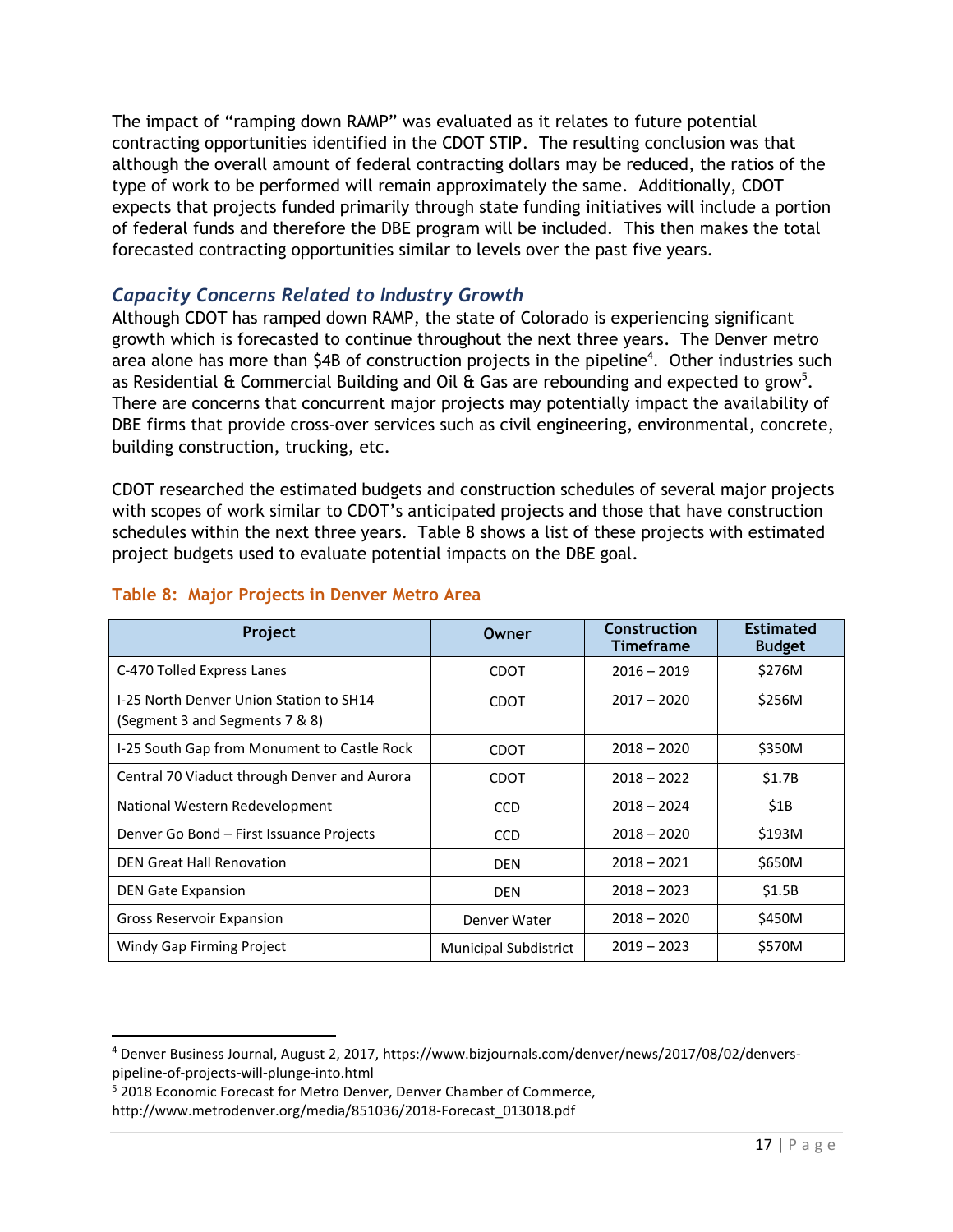The impact of "ramping down RAMP" was evaluated as it relates to future potential contracting opportunities identified in the CDOT STIP. The resulting conclusion was that although the overall amount of federal contracting dollars may be reduced, the ratios of the type of work to be performed will remain approximately the same. Additionally, CDOT expects that projects funded primarily through state funding initiatives will include a portion of federal funds and therefore the DBE program will be included. This then makes the total forecasted contracting opportunities similar to levels over the past five years.

#### <span id="page-16-0"></span>*Capacity Concerns Related to Industry Growth*

Although CDOT has ramped down RAMP, the state of Colorado is experiencing significant growth which is forecasted to continue throughout the next three years. The Denver metro area alone has more than \$4B of construction projects in the pipeline<sup>4</sup>. Other industries such as Residential  $\&$  Commercial Building and Oil  $\&$  Gas are rebounding and expected to grow<sup>5</sup>. There are concerns that concurrent major projects may potentially impact the availability of DBE firms that provide cross-over services such as civil engineering, environmental, concrete, building construction, trucking, etc.

CDOT researched the estimated budgets and construction schedules of several major projects with scopes of work similar to CDOT's anticipated projects and those that have construction schedules within the next three years. Table 8 shows a list of these projects with estimated project budgets used to evaluate potential impacts on the DBE goal.

| Project                                                                   | Owner                        | Construction<br><b>Timeframe</b> | <b>Estimated</b><br><b>Budget</b> |
|---------------------------------------------------------------------------|------------------------------|----------------------------------|-----------------------------------|
| C-470 Tolled Express Lanes                                                | CDOT                         | $2016 - 2019$                    | \$276M                            |
| I-25 North Denver Union Station to SH14<br>(Segment 3 and Segments 7 & 8) | CDOT                         | $2017 - 2020$                    | \$256M                            |
| I-25 South Gap from Monument to Castle Rock                               | CDOT                         | $2018 - 2020$                    | \$350M                            |
| Central 70 Viaduct through Denver and Aurora                              | CDOT                         | $2018 - 2022$                    | \$1.7B                            |
| National Western Redevelopment                                            | <b>CCD</b>                   | $2018 - 2024$                    | \$1B                              |
| Denver Go Bond - First Issuance Projects                                  | <b>CCD</b>                   | $2018 - 2020$                    | \$193M                            |
| <b>DEN Great Hall Renovation</b>                                          | <b>DEN</b>                   | $2018 - 2021$                    | \$650M                            |
| <b>DEN Gate Expansion</b>                                                 | <b>DEN</b>                   | $2018 - 2023$                    | \$1.5B                            |
| <b>Gross Reservoir Expansion</b>                                          | Denver Water                 | $2018 - 2020$                    | \$450M                            |
| Windy Gap Firming Project                                                 | <b>Municipal Subdistrict</b> | $2019 - 2023$                    | \$570M                            |

#### **Table 8: Major Projects in Denver Metro Area**

l

<sup>4</sup> Denver Business Journal, August 2, 2017, https://www.bizjournals.com/denver/news/2017/08/02/denverspipeline-of-projects-will-plunge-into.html

<sup>5</sup> 2018 Economic Forecast for Metro Denver, Denver Chamber of Commerce,

http://www.metrodenver.org/media/851036/2018-Forecast\_013018.pdf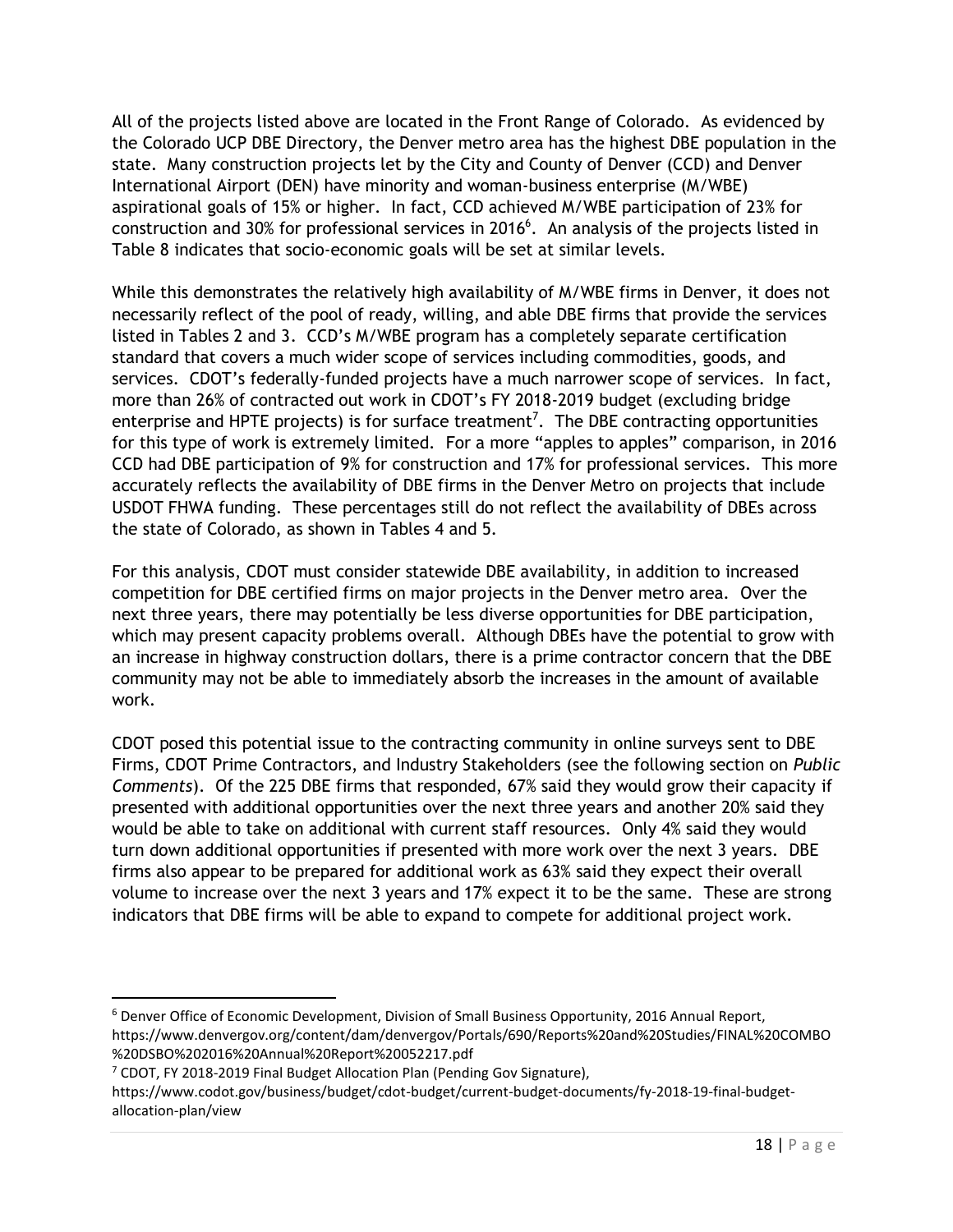All of the projects listed above are located in the Front Range of Colorado. As evidenced by the Colorado UCP DBE Directory, the Denver metro area has the highest DBE population in the state. Many construction projects let by the City and County of Denver (CCD) and Denver International Airport (DEN) have minority and woman-business enterprise (M/WBE) aspirational goals of 15% or higher. In fact, CCD achieved M/WBE participation of 23% for construction and 30% for professional services in 2016 $^6$ . An analysis of the projects listed in Table 8 indicates that socio-economic goals will be set at similar levels.

While this demonstrates the relatively high availability of M/WBE firms in Denver, it does not necessarily reflect of the pool of ready, willing, and able DBE firms that provide the services listed in Tables 2 and 3. CCD's M/WBE program has a completely separate certification standard that covers a much wider scope of services including commodities, goods, and services. CDOT's federally-funded projects have a much narrower scope of services. In fact, more than 26% of contracted out work in CDOT's FY 2018-2019 budget (excluding bridge enterprise and HPTE projects) is for surface treatment<sup>7</sup>. The DBE contracting opportunities for this type of work is extremely limited. For a more "apples to apples" comparison, in 2016 CCD had DBE participation of 9% for construction and 17% for professional services. This more accurately reflects the availability of DBE firms in the Denver Metro on projects that include USDOT FHWA funding. These percentages still do not reflect the availability of DBEs across the state of Colorado, as shown in Tables 4 and 5.

For this analysis, CDOT must consider statewide DBE availability, in addition to increased competition for DBE certified firms on major projects in the Denver metro area. Over the next three years, there may potentially be less diverse opportunities for DBE participation, which may present capacity problems overall. Although DBEs have the potential to grow with an increase in highway construction dollars, there is a prime contractor concern that the DBE community may not be able to immediately absorb the increases in the amount of available work.

CDOT posed this potential issue to the contracting community in online surveys sent to DBE Firms, CDOT Prime Contractors, and Industry Stakeholders (see the following section on *Public Comments*). Of the 225 DBE firms that responded, 67% said they would grow their capacity if presented with additional opportunities over the next three years and another 20% said they would be able to take on additional with current staff resources. Only 4% said they would turn down additional opportunities if presented with more work over the next 3 years. DBE firms also appear to be prepared for additional work as 63% said they expect their overall volume to increase over the next 3 years and 17% expect it to be the same. These are strong indicators that DBE firms will be able to expand to compete for additional project work.

l

<sup>6</sup> Denver Office of Economic Development, Division of Small Business Opportunity, 2016 Annual Report, https://www.denvergov.org/content/dam/denvergov/Portals/690/Reports%20and%20Studies/FINAL%20COMBO %20DSBO%202016%20Annual%20Report%20052217.pdf

<sup>7</sup> CDOT, FY 2018-2019 Final Budget Allocation Plan (Pending Gov Signature),

https://www.codot.gov/business/budget/cdot-budget/current-budget-documents/fy-2018-19-final-budgetallocation-plan/view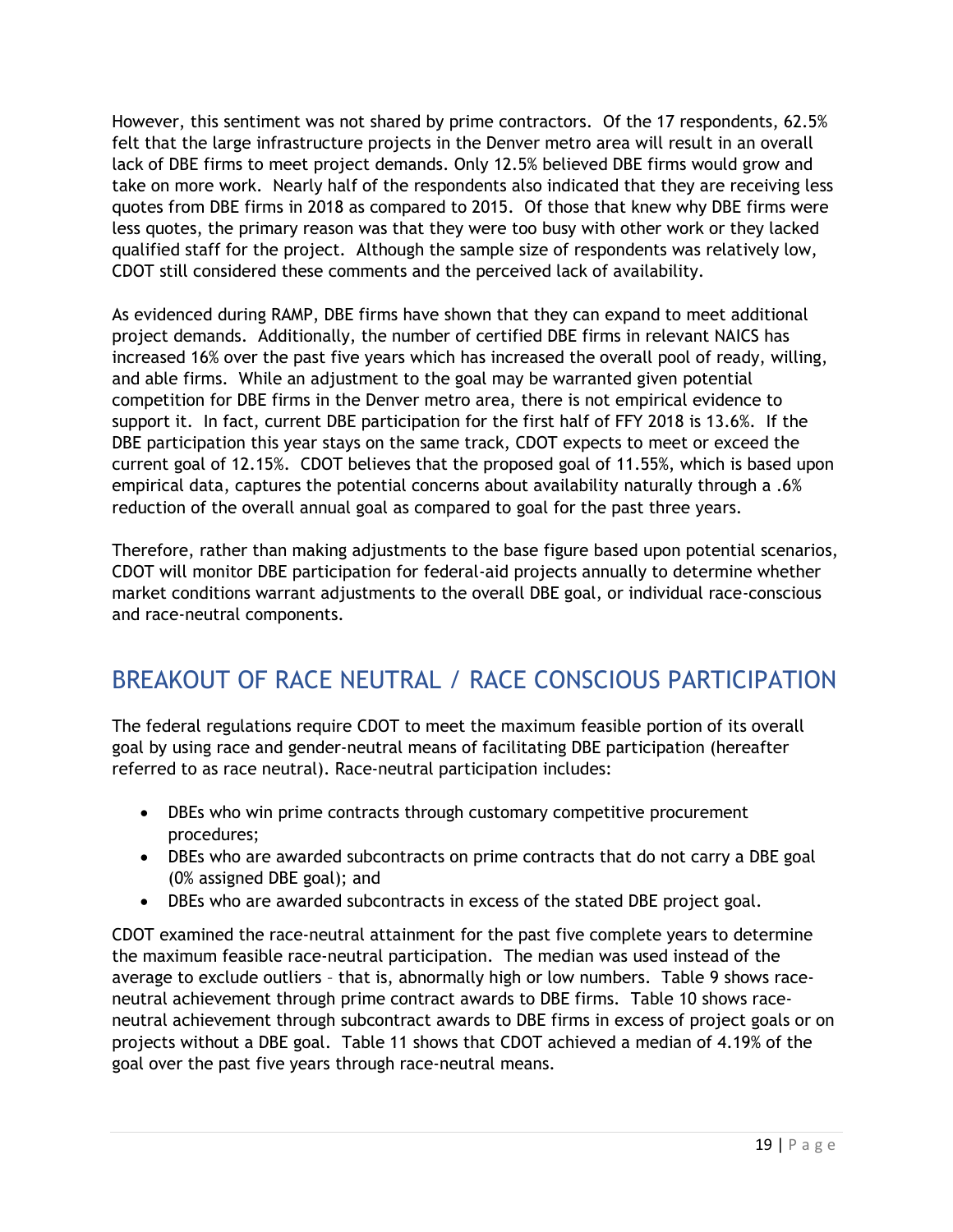However, this sentiment was not shared by prime contractors. Of the 17 respondents, 62.5% felt that the large infrastructure projects in the Denver metro area will result in an overall lack of DBE firms to meet project demands. Only 12.5% believed DBE firms would grow and take on more work. Nearly half of the respondents also indicated that they are receiving less quotes from DBE firms in 2018 as compared to 2015. Of those that knew why DBE firms were less quotes, the primary reason was that they were too busy with other work or they lacked qualified staff for the project. Although the sample size of respondents was relatively low, CDOT still considered these comments and the perceived lack of availability.

As evidenced during RAMP, DBE firms have shown that they can expand to meet additional project demands. Additionally, the number of certified DBE firms in relevant NAICS has increased 16% over the past five years which has increased the overall pool of ready, willing, and able firms. While an adjustment to the goal may be warranted given potential competition for DBE firms in the Denver metro area, there is not empirical evidence to support it. In fact, current DBE participation for the first half of FFY 2018 is 13.6%. If the DBE participation this year stays on the same track, CDOT expects to meet or exceed the current goal of 12.15%. CDOT believes that the proposed goal of 11.55%, which is based upon empirical data, captures the potential concerns about availability naturally through a .6% reduction of the overall annual goal as compared to goal for the past three years.

Therefore, rather than making adjustments to the base figure based upon potential scenarios, CDOT will monitor DBE participation for federal-aid projects annually to determine whether market conditions warrant adjustments to the overall DBE goal, or individual race-conscious and race-neutral components.

# <span id="page-18-0"></span>BREAKOUT OF RACE NEUTRAL / RACE CONSCIOUS PARTICIPATION

The federal regulations require CDOT to meet the maximum feasible portion of its overall goal by using race and gender‐neutral means of facilitating DBE participation (hereafter referred to as race neutral). Race‐neutral participation includes:

- DBEs who win prime contracts through customary competitive procurement procedures;
- DBEs who are awarded subcontracts on prime contracts that do not carry a DBE goal (0% assigned DBE goal); and
- DBEs who are awarded subcontracts in excess of the stated DBE project goal.

CDOT examined the race-neutral attainment for the past five complete years to determine the maximum feasible race-neutral participation. The median was used instead of the average to exclude outliers – that is, abnormally high or low numbers. Table 9 shows raceneutral achievement through prime contract awards to DBE firms. Table 10 shows raceneutral achievement through subcontract awards to DBE firms in excess of project goals or on projects without a DBE goal. Table 11 shows that CDOT achieved a median of 4.19% of the goal over the past five years through race-neutral means.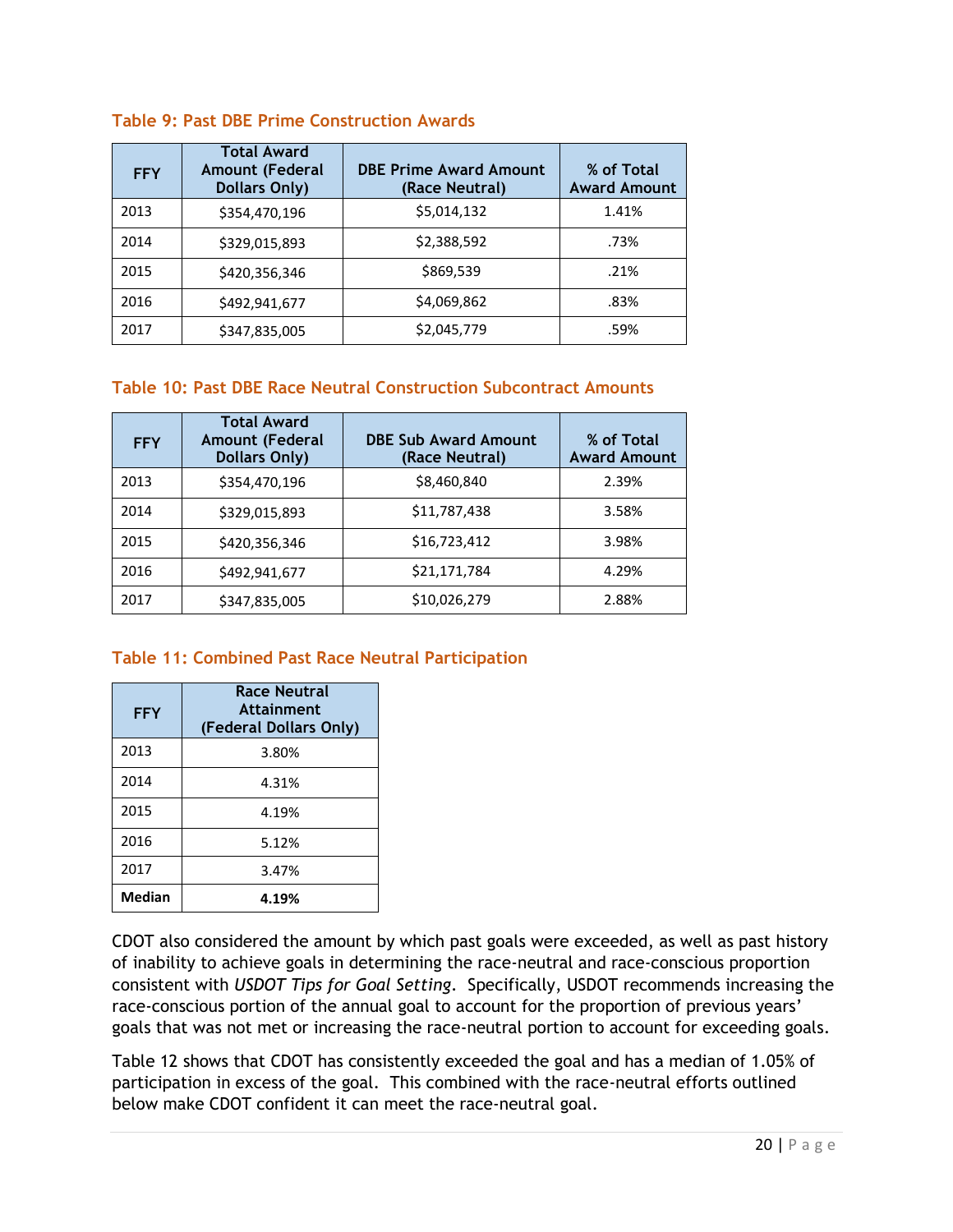| <b>FFY</b> | <b>Total Award</b><br><b>Amount (Federal</b><br><b>Dollars Only)</b> | <b>DBE Prime Award Amount</b><br>(Race Neutral) | % of Total<br><b>Award Amount</b> |
|------------|----------------------------------------------------------------------|-------------------------------------------------|-----------------------------------|
| 2013       | \$354,470,196                                                        | \$5,014,132                                     | 1.41%                             |
| 2014       | \$329,015,893                                                        | \$2,388,592                                     | .73%                              |
| 2015       | \$420,356,346                                                        | \$869,539                                       | .21%                              |
| 2016       | \$492,941,677                                                        | \$4,069,862                                     | .83%                              |
| 2017       | \$347,835,005                                                        | \$2,045,779                                     | .59%                              |

#### **Table 9: Past DBE Prime Construction Awards**

#### **Table 10: Past DBE Race Neutral Construction Subcontract Amounts**

| <b>FFY</b> | <b>Total Award</b><br><b>Amount (Federal</b><br><b>Dollars Only)</b> | <b>DBE Sub Award Amount</b><br>(Race Neutral) | % of Total<br><b>Award Amount</b> |
|------------|----------------------------------------------------------------------|-----------------------------------------------|-----------------------------------|
| 2013       | \$354,470,196                                                        | \$8,460,840                                   | 2.39%                             |
| 2014       | \$329,015,893                                                        | \$11,787,438                                  | 3.58%                             |
| 2015       | \$420,356,346                                                        | \$16,723,412                                  | 3.98%                             |
| 2016       | \$492,941,677                                                        | \$21,171,784                                  | 4.29%                             |
| 2017       | \$347,835,005                                                        | \$10,026,279                                  | 2.88%                             |

#### **Table 11: Combined Past Race Neutral Participation**

| <b>FFY</b> | <b>Race Neutral</b><br><b>Attainment</b><br>(Federal Dollars Only) |
|------------|--------------------------------------------------------------------|
| 2013       | 3.80%                                                              |
| 2014       | 4.31%                                                              |
| 2015       | 4.19%                                                              |
| 2016       | 5.12%                                                              |
| 2017       | 3.47%                                                              |
| Median     | 4.19%                                                              |

CDOT also considered the amount by which past goals were exceeded, as well as past history of inability to achieve goals in determining the race-neutral and race-conscious proportion consistent with *USDOT Tips for Goal Setting*. Specifically, USDOT recommends increasing the race-conscious portion of the annual goal to account for the proportion of previous years' goals that was not met or increasing the race-neutral portion to account for exceeding goals.

Table 12 shows that CDOT has consistently exceeded the goal and has a median of 1.05% of participation in excess of the goal. This combined with the race-neutral efforts outlined below make CDOT confident it can meet the race-neutral goal.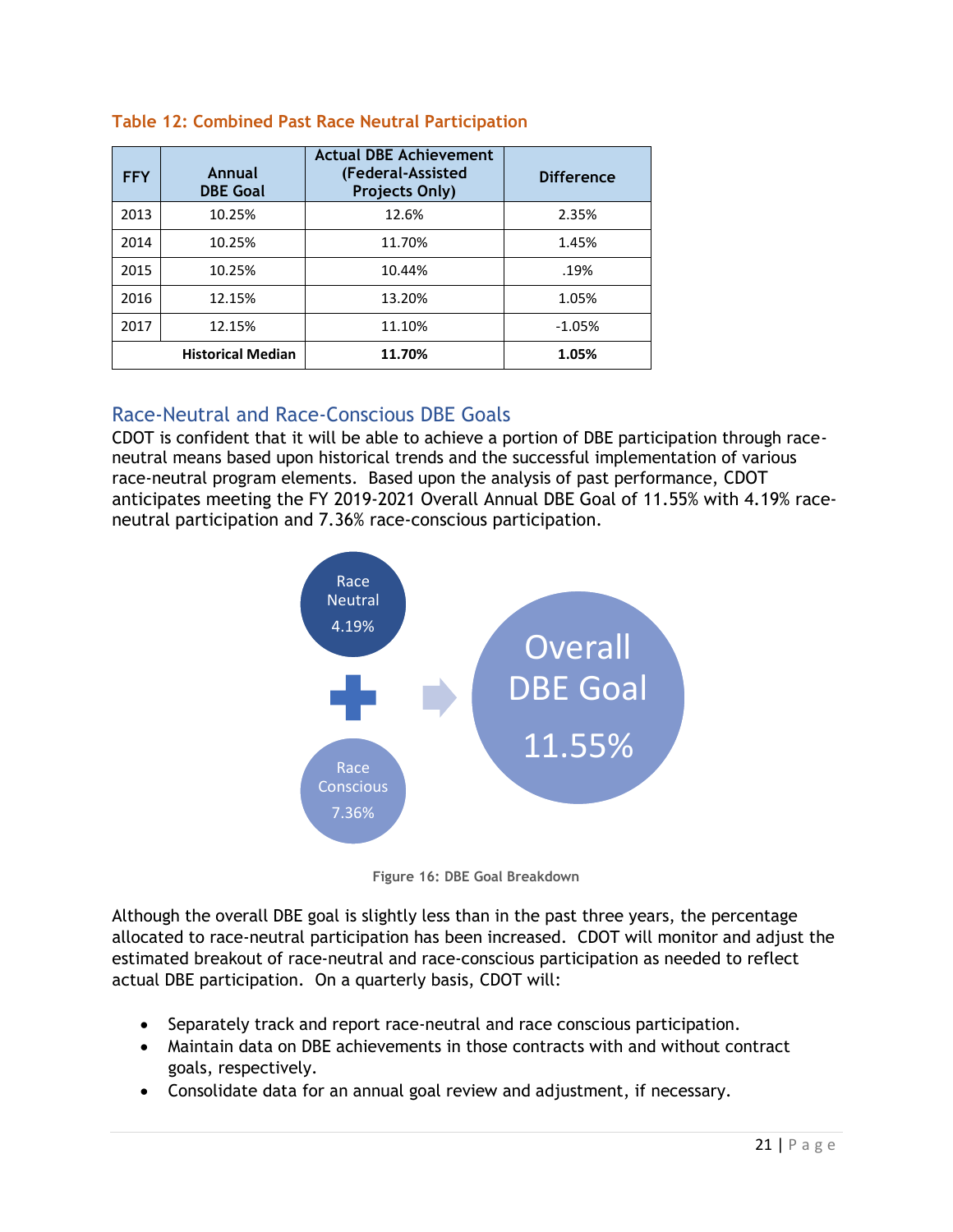| <b>FFY</b> | Annual<br><b>DBE Goal</b> | <b>Actual DBE Achievement</b><br>(Federal-Assisted<br><b>Projects Only)</b> | <b>Difference</b> |
|------------|---------------------------|-----------------------------------------------------------------------------|-------------------|
| 2013       | 10.25%                    | 12.6%                                                                       | 2.35%             |
| 2014       | 10.25%                    | 11.70%                                                                      | 1.45%             |
| 2015       | 10.25%                    | 10.44%                                                                      | .19%              |
| 2016       | 12.15%                    | 13.20%                                                                      | 1.05%             |
| 2017       | 12.15%                    | 11.10%                                                                      | $-1.05%$          |
|            | <b>Historical Median</b>  | 11.70%                                                                      | 1.05%             |

#### **Table 12: Combined Past Race Neutral Participation**

#### <span id="page-20-0"></span>Race-Neutral and Race-Conscious DBE Goals

CDOT is confident that it will be able to achieve a portion of DBE participation through raceneutral means based upon historical trends and the successful implementation of various race-neutral program elements. Based upon the analysis of past performance, CDOT anticipates meeting the FY 2019-2021 Overall Annual DBE Goal of 11.55% with 4.19% race‐ neutral participation and 7.36% race‐conscious participation.



**Figure 16: DBE Goal Breakdown**

Although the overall DBE goal is slightly less than in the past three years, the percentage allocated to race‐neutral participation has been increased. CDOT will monitor and adjust the estimated breakout of race‐neutral and race‐conscious participation as needed to reflect actual DBE participation. On a quarterly basis, CDOT will:

- Separately track and report race-neutral and race conscious participation.
- Maintain data on DBE achievements in those contracts with and without contract goals, respectively.
- Consolidate data for an annual goal review and adjustment, if necessary.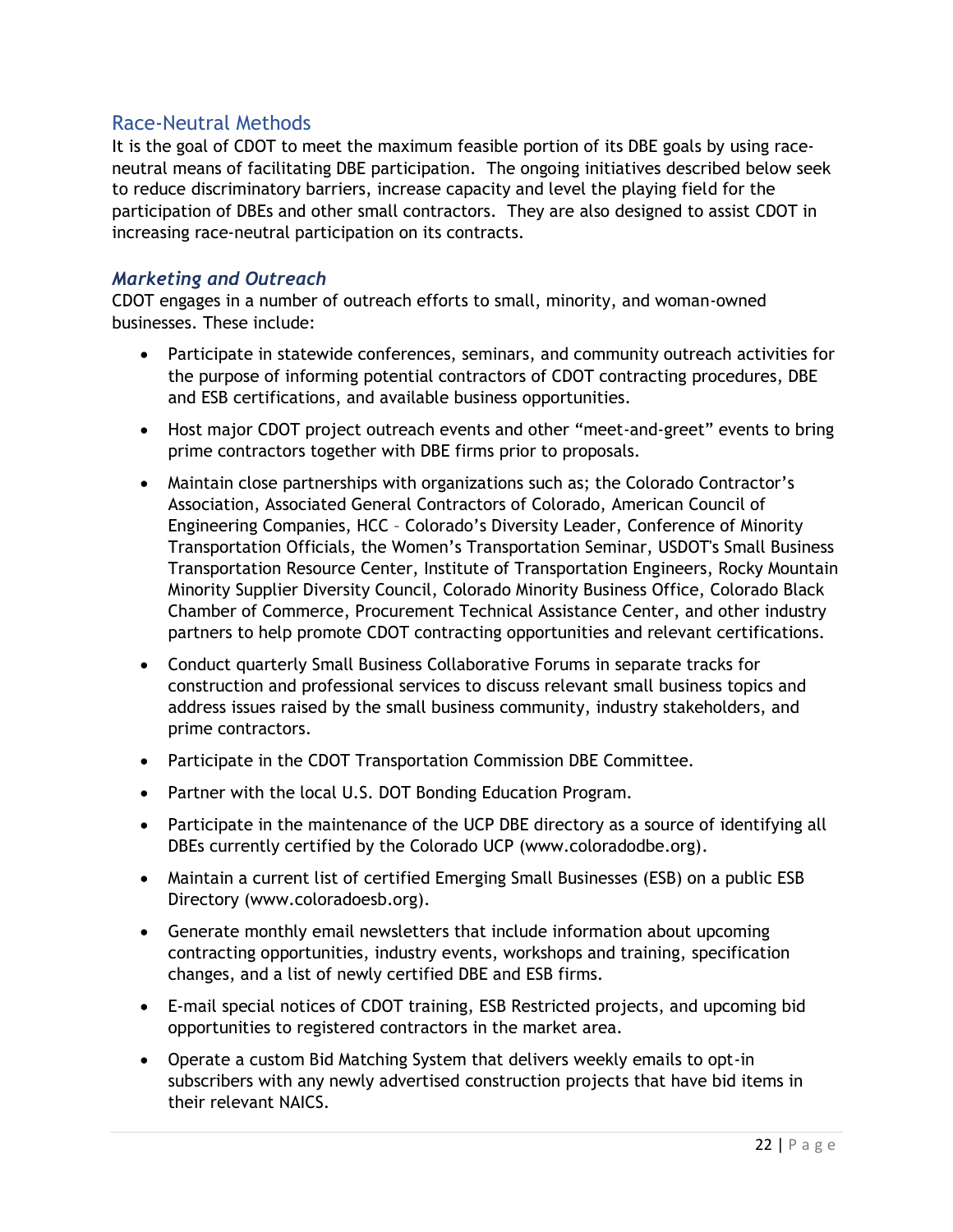#### <span id="page-21-0"></span>Race‐Neutral Methods

It is the goal of CDOT to meet the maximum feasible portion of its DBE goals by using race‐ neutral means of facilitating DBE participation. The ongoing initiatives described below seek to reduce discriminatory barriers, increase capacity and level the playing field for the participation of DBEs and other small contractors. They are also designed to assist CDOT in increasing race‐neutral participation on its contracts.

#### <span id="page-21-1"></span>*Marketing and Outreach*

CDOT engages in a number of outreach efforts to small, minority, and woman-owned businesses. These include:

- Participate in statewide conferences, seminars, and community outreach activities for the purpose of informing potential contractors of CDOT contracting procedures, DBE and ESB certifications, and available business opportunities.
- Host major CDOT project outreach events and other "meet-and-greet" events to bring prime contractors together with DBE firms prior to proposals.
- Maintain close partnerships with organizations such as; the Colorado Contractor's Association, Associated General Contractors of Colorado, American Council of Engineering Companies, HCC – Colorado's Diversity Leader, Conference of Minority Transportation Officials, the Women's Transportation Seminar, USDOT's Small Business Transportation Resource Center, Institute of Transportation Engineers, Rocky Mountain Minority Supplier Diversity Council, Colorado Minority Business Office, Colorado Black Chamber of Commerce, Procurement Technical Assistance Center, and other industry partners to help promote CDOT contracting opportunities and relevant certifications.
- Conduct quarterly Small Business Collaborative Forums in separate tracks for construction and professional services to discuss relevant small business topics and address issues raised by the small business community, industry stakeholders, and prime contractors.
- Participate in the CDOT Transportation Commission DBE Committee.
- Partner with the local U.S. DOT Bonding Education Program.
- Participate in the maintenance of the UCP DBE directory as a source of identifying all DBEs currently certified by the Colorado UCP (www.coloradodbe.org).
- Maintain a current list of certified Emerging Small Businesses (ESB) on a public ESB Directory (www.coloradoesb.org).
- Generate monthly email newsletters that include information about upcoming contracting opportunities, industry events, workshops and training, specification changes, and a list of newly certified DBE and ESB firms.
- E‐mail special notices of CDOT training, ESB Restricted projects, and upcoming bid opportunities to registered contractors in the market area.
- Operate a custom Bid Matching System that delivers weekly emails to opt-in subscribers with any newly advertised construction projects that have bid items in their relevant NAICS.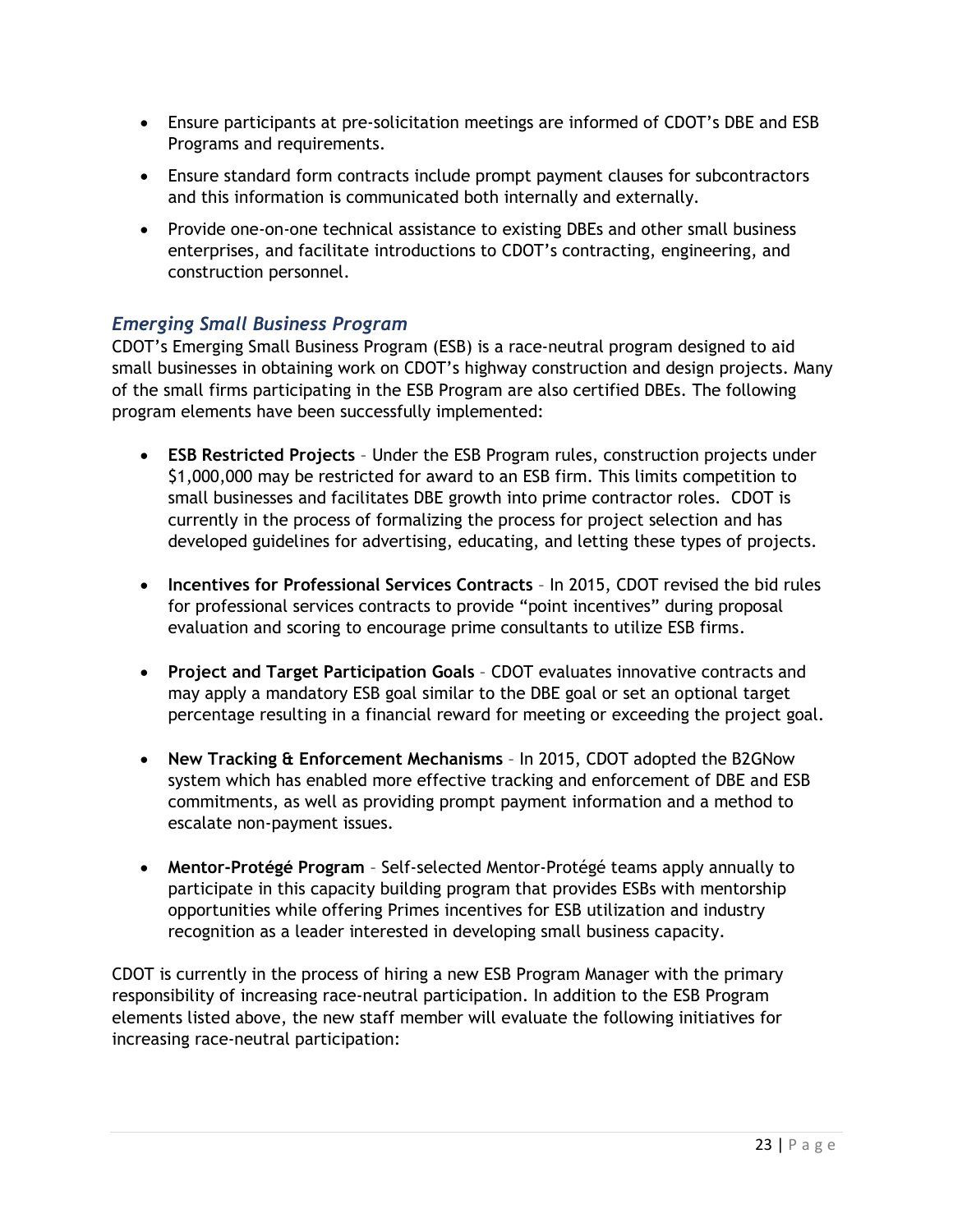- Ensure participants at pre‐solicitation meetings are informed of CDOT's DBE and ESB Programs and requirements.
- Ensure standard form contracts include prompt payment clauses for subcontractors and this information is communicated both internally and externally.
- Provide one-on-one technical assistance to existing DBEs and other small business enterprises, and facilitate introductions to CDOT's contracting, engineering, and construction personnel.

#### <span id="page-22-0"></span>*Emerging Small Business Program*

CDOT's Emerging Small Business Program (ESB) is a race‐neutral program designed to aid small businesses in obtaining work on CDOT's highway construction and design projects. Many of the small firms participating in the ESB Program are also certified DBEs. The following program elements have been successfully implemented:

- **ESB Restricted Projects**  Under the ESB Program rules, construction projects under \$1,000,000 may be restricted for award to an ESB firm. This limits competition to small businesses and facilitates DBE growth into prime contractor roles. CDOT is currently in the process of formalizing the process for project selection and has developed guidelines for advertising, educating, and letting these types of projects.
- **Incentives for Professional Services Contracts** In 2015, CDOT revised the bid rules for professional services contracts to provide "point incentives" during proposal evaluation and scoring to encourage prime consultants to utilize ESB firms.
- **Project and Target Participation Goals** CDOT evaluates innovative contracts and may apply a mandatory ESB goal similar to the DBE goal or set an optional target percentage resulting in a financial reward for meeting or exceeding the project goal.
- **New Tracking & Enforcement Mechanisms**  In 2015, CDOT adopted the B2GNow system which has enabled more effective tracking and enforcement of DBE and ESB commitments, as well as providing prompt payment information and a method to escalate non-payment issues.
- **Mentor-Protégé Program**  Self-selected Mentor-Protégé teams apply annually to participate in this capacity building program that provides ESBs with mentorship opportunities while offering Primes incentives for ESB utilization and industry recognition as a leader interested in developing small business capacity.

CDOT is currently in the process of hiring a new ESB Program Manager with the primary responsibility of increasing race-neutral participation. In addition to the ESB Program elements listed above, the new staff member will evaluate the following initiatives for increasing race-neutral participation: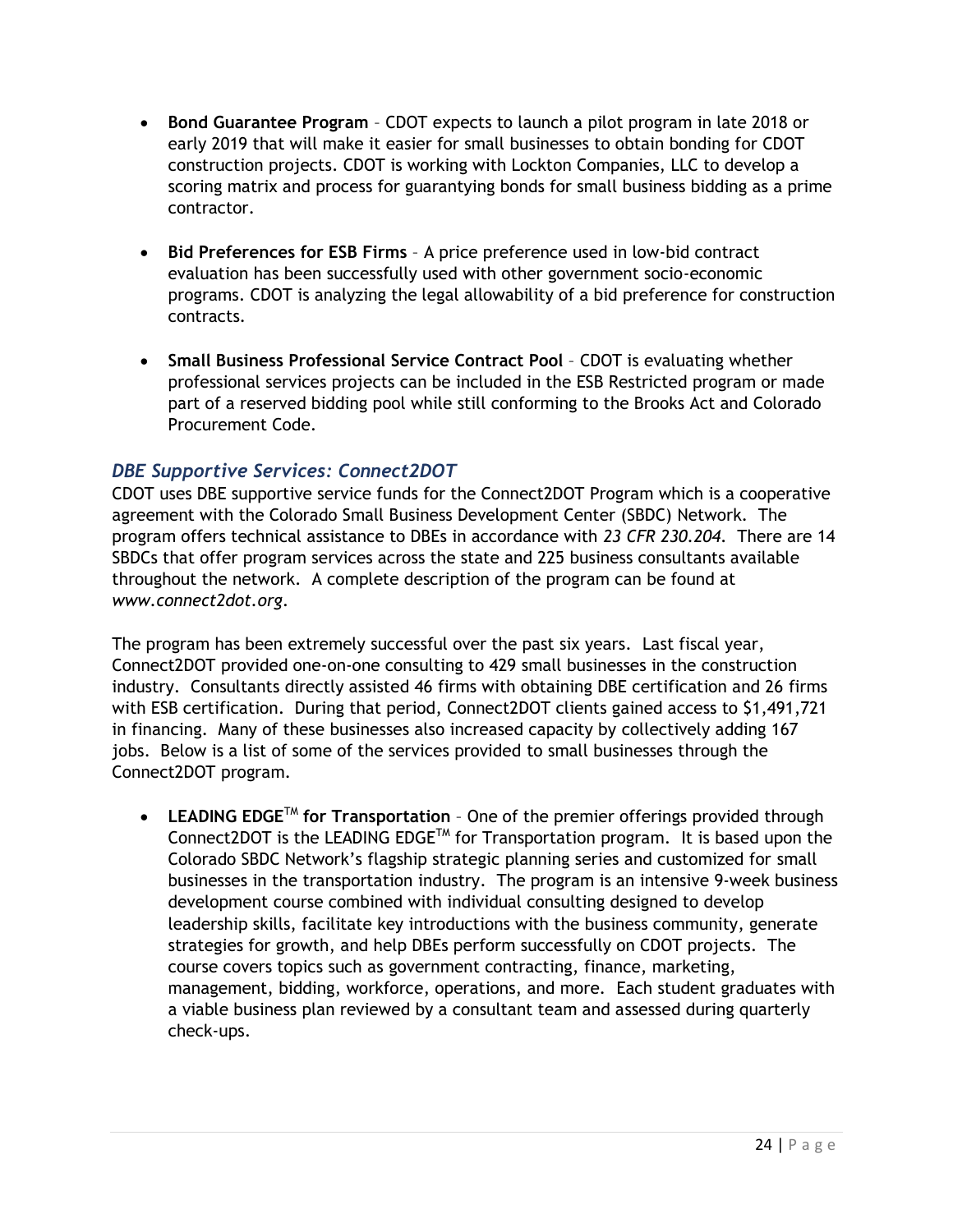- **Bond Guarantee Program** CDOT expects to launch a pilot program in late 2018 or early 2019 that will make it easier for small businesses to obtain bonding for CDOT construction projects. CDOT is working with Lockton Companies, LLC to develop a scoring matrix and process for guarantying bonds for small business bidding as a prime contractor.
- **Bid Preferences for ESB Firms** A price preference used in low-bid contract evaluation has been successfully used with other government socio-economic programs. CDOT is analyzing the legal allowability of a bid preference for construction contracts.
- **Small Business Professional Service Contract Pool** CDOT is evaluating whether professional services projects can be included in the ESB Restricted program or made part of a reserved bidding pool while still conforming to the Brooks Act and Colorado Procurement Code.

#### <span id="page-23-0"></span>*DBE Supportive Services: Connect2DOT*

CDOT uses DBE supportive service funds for the Connect2DOT Program which is a cooperative agreement with the Colorado Small Business Development Center (SBDC) Network. The program offers technical assistance to DBEs in accordance with *23 CFR 230.204*. There are 14 SBDCs that offer program services across the state and 225 business consultants available throughout the network. A complete description of the program can be found at *www.connect2dot.org*.

The program has been extremely successful over the past six years. Last fiscal year, Connect2DOT provided one-on-one consulting to 429 small businesses in the construction industry. Consultants directly assisted 46 firms with obtaining DBE certification and 26 firms with ESB certification. During that period, Connect2DOT clients gained access to \$1,491,721 in financing. Many of these businesses also increased capacity by collectively adding 167 jobs. Below is a list of some of the services provided to small businesses through the Connect2DOT program.

**• LEADING EDGE<sup>TM</sup> for Transportation** - One of the premier offerings provided through Connect2DOT is the LEADING EDGETM for Transportation program. It is based upon the Colorado SBDC Network's flagship strategic planning series and customized for small businesses in the transportation industry. The program is an intensive 9-week business development course combined with individual consulting designed to develop leadership skills, facilitate key introductions with the business community, generate strategies for growth, and help DBEs perform successfully on CDOT projects. The course covers topics such as government contracting, finance, marketing, management, bidding, workforce, operations, and more. Each student graduates with a viable business plan reviewed by a consultant team and assessed during quarterly check-ups.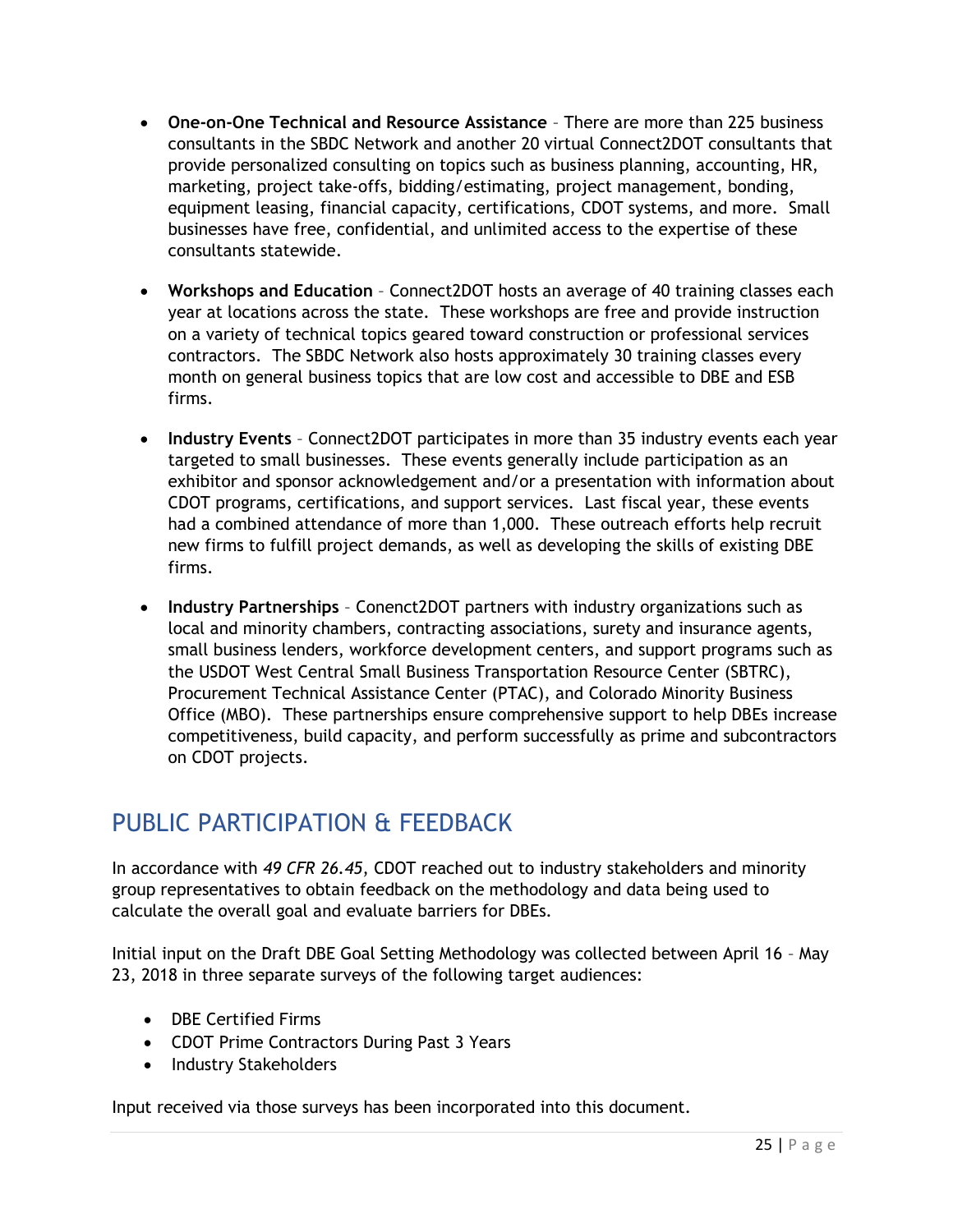- **One‐on‐One Technical and Resource Assistance** There are more than 225 business consultants in the SBDC Network and another 20 virtual Connect2DOT consultants that provide personalized consulting on topics such as business planning, accounting, HR, marketing, project take-offs, bidding/estimating, project management, bonding, equipment leasing, financial capacity, certifications, CDOT systems, and more. Small businesses have free, confidential, and unlimited access to the expertise of these consultants statewide.
- **Workshops and Education** Connect2DOT hosts an average of 40 training classes each year at locations across the state. These workshops are free and provide instruction on a variety of technical topics geared toward construction or professional services contractors. The SBDC Network also hosts approximately 30 training classes every month on general business topics that are low cost and accessible to DBE and ESB firms.
- **Industry Events** Connect2DOT participates in more than 35 industry events each year targeted to small businesses. These events generally include participation as an exhibitor and sponsor acknowledgement and/or a presentation with information about CDOT programs, certifications, and support services. Last fiscal year, these events had a combined attendance of more than 1,000. These outreach efforts help recruit new firms to fulfill project demands, as well as developing the skills of existing DBE firms.
- **Industry Partnerships** Conenct2DOT partners with industry organizations such as local and minority chambers, contracting associations, surety and insurance agents, small business lenders, workforce development centers, and support programs such as the USDOT West Central Small Business Transportation Resource Center (SBTRC), Procurement Technical Assistance Center (PTAC), and Colorado Minority Business Office (MBO). These partnerships ensure comprehensive support to help DBEs increase competitiveness, build capacity, and perform successfully as prime and subcontractors on CDOT projects.

# <span id="page-24-0"></span>PUBLIC PARTICIPATION & FEEDBACK

In accordance with *49 CFR 26.45*, CDOT reached out to industry stakeholders and minority group representatives to obtain feedback on the methodology and data being used to calculate the overall goal and evaluate barriers for DBEs.

Initial input on the Draft DBE Goal Setting Methodology was collected between April 16 – May 23, 2018 in three separate surveys of the following target audiences:

- DBE Certified Firms
- CDOT Prime Contractors During Past 3 Years
- Industry Stakeholders

Input received via those surveys has been incorporated into this document.